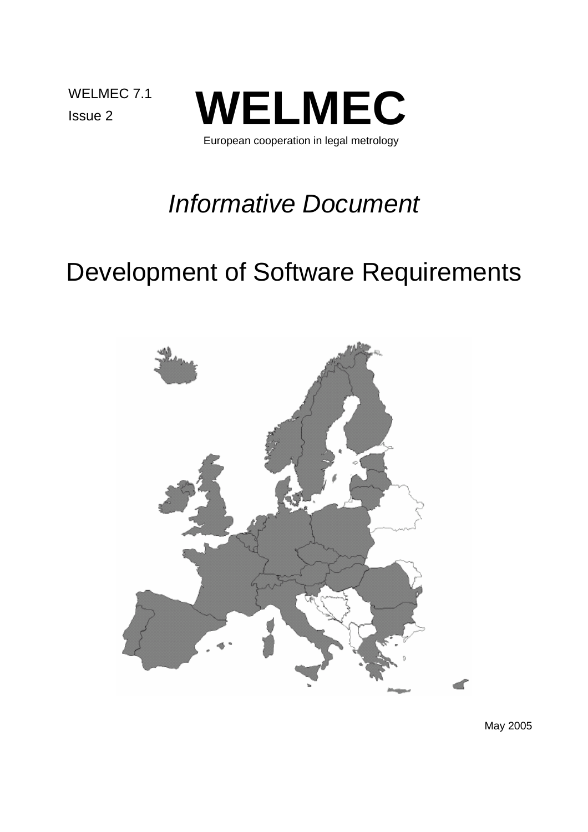WELMEC 7.1



European cooperation in legal metrology

# *Informative Document*

# Development of Software Requirements



May 2005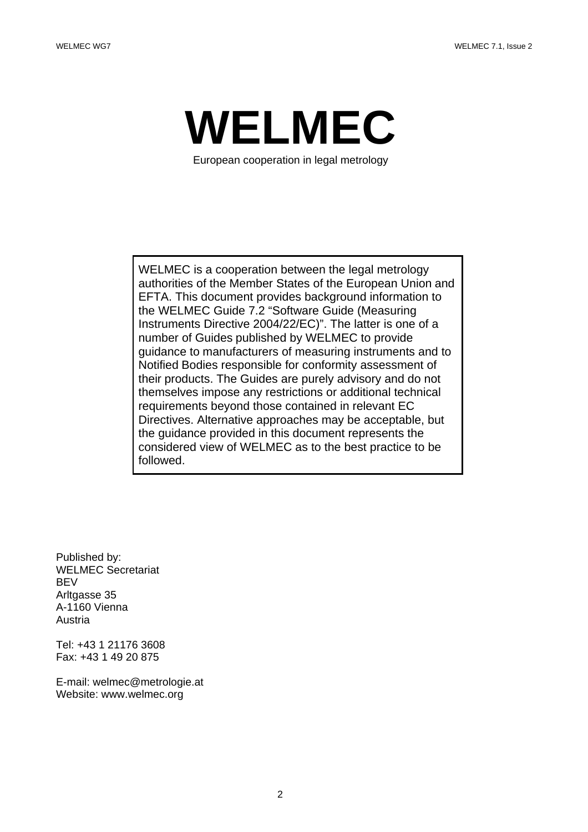

European cooperation in legal metrology

 WELMEC is a cooperation between the legal metrology authorities of the Member States of the European Union and EFTA. This document provides background information to the WELMEC Guide 7.2 "Software Guide (Measuring Instruments Directive 2004/22/EC)". The latter is one of a number of Guides published by WELMEC to provide guidance to manufacturers of measuring instruments and to Notified Bodies responsible for conformity assessment of their products. The Guides are purely advisory and do not themselves impose any restrictions or additional technical requirements beyond those contained in relevant EC Directives. Alternative approaches may be acceptable, but the guidance provided in this document represents the considered view of WELMEC as to the best practice to be followed.

Published by: WELMEC Secretariat **BFV** Arltgasse 35 A-1160 Vienna Austria

Tel: +43 1 21176 3608 Fax: +43 1 49 20 875

E-mail: welmec@metrologie.at Website: www.welmec.org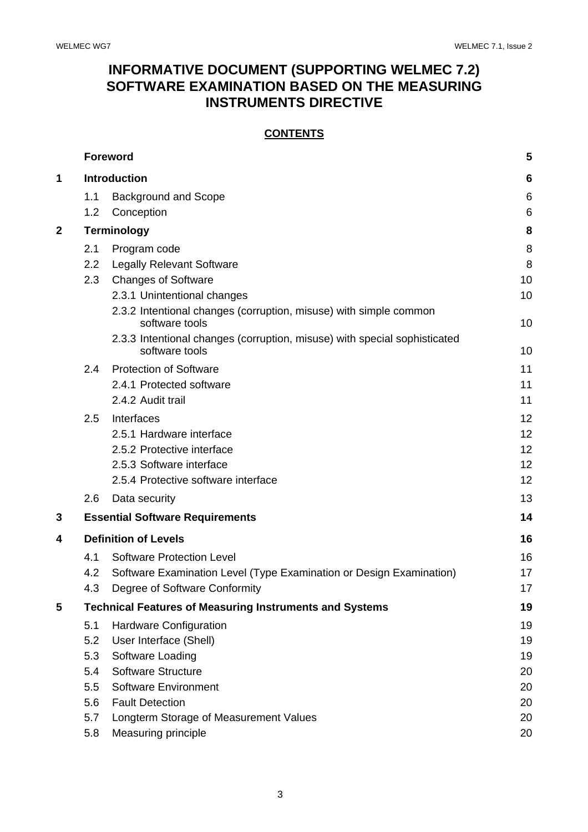# **INFORMATIVE DOCUMENT (SUPPORTING WELMEC 7.2) SOFTWARE EXAMINATION BASED ON THE MEASURING INSTRUMENTS DIRECTIVE**

## **CONTENTS**

|              |              | <b>Foreword</b>                                                                     | 5        |  |
|--------------|--------------|-------------------------------------------------------------------------------------|----------|--|
| 1            | Introduction |                                                                                     |          |  |
|              | 1.1          | <b>Background and Scope</b>                                                         | 6        |  |
|              | 1.2          | Conception                                                                          | 6        |  |
| $\mathbf{2}$ |              | <b>Terminology</b>                                                                  | 8        |  |
|              | 2.1          | Program code                                                                        | 8        |  |
|              | 2.2          | <b>Legally Relevant Software</b>                                                    | 8        |  |
|              | 2.3          | <b>Changes of Software</b>                                                          | 10       |  |
|              |              | 2.3.1 Unintentional changes                                                         | 10       |  |
|              |              | 2.3.2 Intentional changes (corruption, misuse) with simple common<br>software tools | 10       |  |
|              |              | 2.3.3 Intentional changes (corruption, misuse) with special sophisticated           |          |  |
|              |              | software tools                                                                      | 10       |  |
|              | 2.4          | <b>Protection of Software</b>                                                       | 11       |  |
|              |              | 2.4.1 Protected software                                                            | 11       |  |
|              |              | 2.4.2 Audit trail                                                                   | 11       |  |
|              | 2.5          | Interfaces                                                                          | 12       |  |
|              |              | 2.5.1 Hardware interface                                                            | 12       |  |
|              |              | 2.5.2 Protective interface                                                          | 12       |  |
|              |              | 2.5.3 Software interface                                                            | 12       |  |
|              |              | 2.5.4 Protective software interface                                                 | 12       |  |
|              | 2.6          | Data security                                                                       | 13       |  |
| 3            |              | <b>Essential Software Requirements</b>                                              | 14       |  |
| 4            |              | <b>Definition of Levels</b>                                                         | 16       |  |
|              | 4.1          | <b>Software Protection Level</b>                                                    | 16       |  |
|              | 4.2          | Software Examination Level (Type Examination or Design Examination)                 | 17       |  |
|              | 4.3          | Degree of Software Conformity                                                       | 17       |  |
| 5            |              | <b>Technical Features of Measuring Instruments and Systems</b>                      | 19       |  |
|              | 5.1          | Hardware Configuration                                                              | 19       |  |
|              | 5.2          | User Interface (Shell)                                                              | 19       |  |
|              | 5.3          | Software Loading                                                                    | 19       |  |
|              | 5.4          | <b>Software Structure</b>                                                           | 20       |  |
|              | 5.5          | <b>Software Environment</b>                                                         | 20       |  |
|              | 5.6          | <b>Fault Detection</b>                                                              | 20       |  |
|              | 5.7<br>5.8   | Longterm Storage of Measurement Values                                              | 20<br>20 |  |
|              |              | Measuring principle                                                                 |          |  |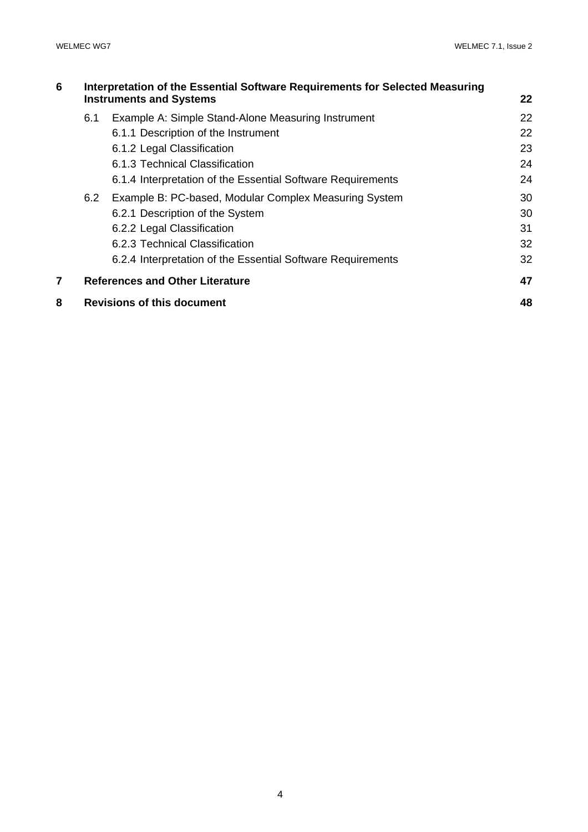| 6 | Interpretation of the Essential Software Requirements for Selected Measuring<br><b>Instruments and Systems</b><br>22 |                                                             |    |  |  |
|---|----------------------------------------------------------------------------------------------------------------------|-------------------------------------------------------------|----|--|--|
|   |                                                                                                                      |                                                             |    |  |  |
|   | 6.1                                                                                                                  | Example A: Simple Stand-Alone Measuring Instrument          | 22 |  |  |
|   |                                                                                                                      | 6.1.1 Description of the Instrument                         | 22 |  |  |
|   |                                                                                                                      | 6.1.2 Legal Classification                                  | 23 |  |  |
|   |                                                                                                                      | 6.1.3 Technical Classification                              | 24 |  |  |
|   |                                                                                                                      | 6.1.4 Interpretation of the Essential Software Requirements | 24 |  |  |
|   | 6.2                                                                                                                  | Example B: PC-based, Modular Complex Measuring System       | 30 |  |  |
|   |                                                                                                                      | 6.2.1 Description of the System                             | 30 |  |  |
|   |                                                                                                                      | 6.2.2 Legal Classification                                  | 31 |  |  |
|   |                                                                                                                      | 6.2.3 Technical Classification                              | 32 |  |  |
|   |                                                                                                                      | 6.2.4 Interpretation of the Essential Software Requirements | 32 |  |  |
| 7 |                                                                                                                      | <b>References and Other Literature</b>                      | 47 |  |  |
| 8 |                                                                                                                      | <b>Revisions of this document</b>                           | 48 |  |  |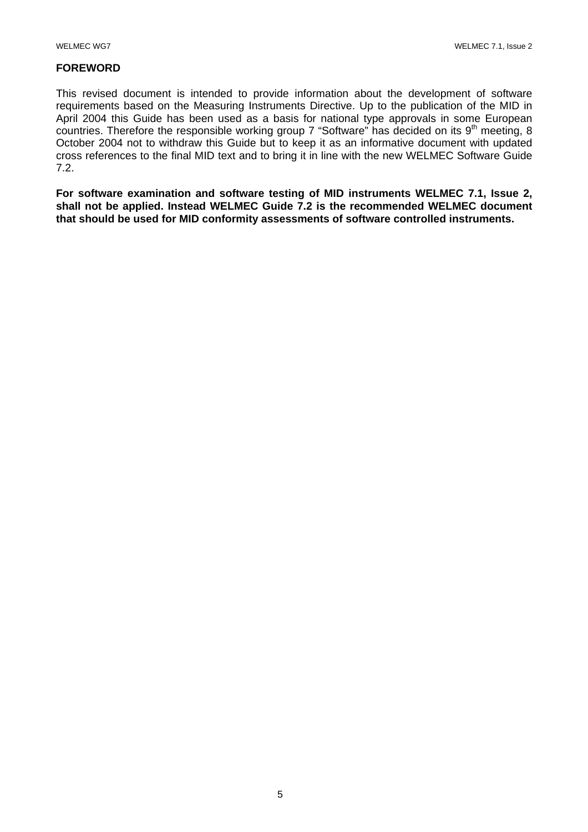## **FOREWORD**

This revised document is intended to provide information about the development of software requirements based on the Measuring Instruments Directive. Up to the publication of the MID in April 2004 this Guide has been used as a basis for national type approvals in some European countries. Therefore the responsible working group 7 "Software" has decided on its  $9<sup>th</sup>$  meeting, 8 October 2004 not to withdraw this Guide but to keep it as an informative document with updated cross references to the final MID text and to bring it in line with the new WELMEC Software Guide 7.2.

**For software examination and software testing of MID instruments WELMEC 7.1, Issue 2, shall not be applied. Instead WELMEC Guide 7.2 is the recommended WELMEC document that should be used for MID conformity assessments of software controlled instruments.**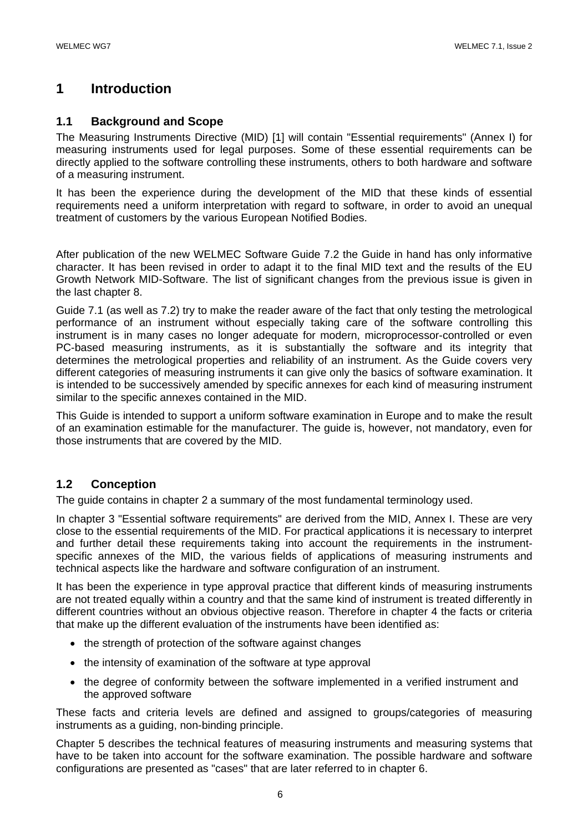# **1 Introduction**

## **1.1 Background and Scope**

The Measuring Instruments Directive (MID) [1] will contain "Essential requirements" (Annex I) for measuring instruments used for legal purposes. Some of these essential requirements can be directly applied to the software controlling these instruments, others to both hardware and software of a measuring instrument.

It has been the experience during the development of the MID that these kinds of essential requirements need a uniform interpretation with regard to software, in order to avoid an unequal treatment of customers by the various European Notified Bodies.

After publication of the new WELMEC Software Guide 7.2 the Guide in hand has only informative character. It has been revised in order to adapt it to the final MID text and the results of the EU Growth Network MID-Software. The list of significant changes from the previous issue is given in the last chapter 8.

Guide 7.1 (as well as 7.2) try to make the reader aware of the fact that only testing the metrological performance of an instrument without especially taking care of the software controlling this instrument is in many cases no longer adequate for modern, microprocessor-controlled or even PC-based measuring instruments, as it is substantially the software and its integrity that determines the metrological properties and reliability of an instrument. As the Guide covers very different categories of measuring instruments it can give only the basics of software examination. It is intended to be successively amended by specific annexes for each kind of measuring instrument similar to the specific annexes contained in the MID.

This Guide is intended to support a uniform software examination in Europe and to make the result of an examination estimable for the manufacturer. The guide is, however, not mandatory, even for those instruments that are covered by the MID.

## **1.2 Conception**

The guide contains in chapter 2 a summary of the most fundamental terminology used.

In chapter 3 "Essential software requirements" are derived from the MID, Annex I. These are very close to the essential requirements of the MID. For practical applications it is necessary to interpret and further detail these requirements taking into account the requirements in the instrumentspecific annexes of the MID, the various fields of applications of measuring instruments and technical aspects like the hardware and software configuration of an instrument.

It has been the experience in type approval practice that different kinds of measuring instruments are not treated equally within a country and that the same kind of instrument is treated differently in different countries without an obvious objective reason. Therefore in chapter 4 the facts or criteria that make up the different evaluation of the instruments have been identified as:

- the strength of protection of the software against changes
- the intensity of examination of the software at type approval
- the degree of conformity between the software implemented in a verified instrument and the approved software

These facts and criteria levels are defined and assigned to groups/categories of measuring instruments as a guiding, non-binding principle.

Chapter 5 describes the technical features of measuring instruments and measuring systems that have to be taken into account for the software examination. The possible hardware and software configurations are presented as "cases" that are later referred to in chapter 6.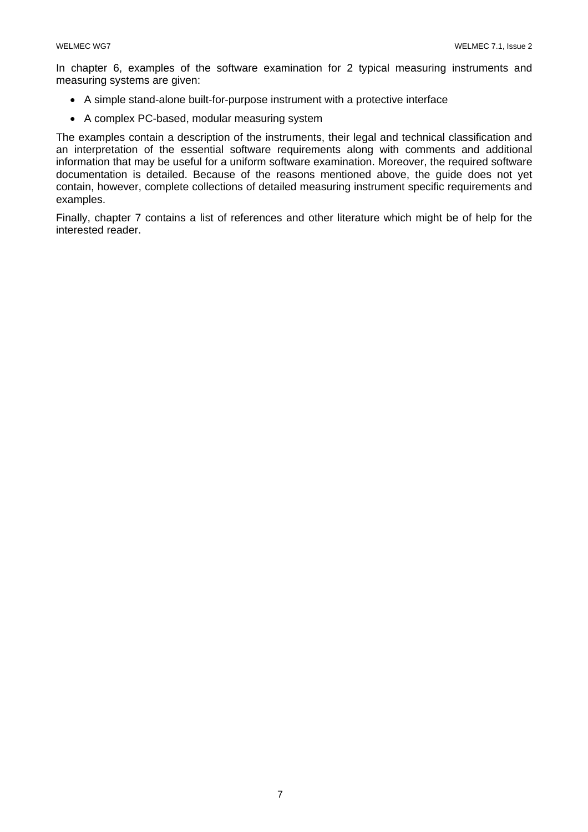In chapter 6, examples of the software examination for 2 typical measuring instruments and measuring systems are given:

- A simple stand-alone built-for-purpose instrument with a protective interface
- A complex PC-based, modular measuring system

The examples contain a description of the instruments, their legal and technical classification and an interpretation of the essential software requirements along with comments and additional information that may be useful for a uniform software examination. Moreover, the required software documentation is detailed. Because of the reasons mentioned above, the guide does not yet contain, however, complete collections of detailed measuring instrument specific requirements and examples.

Finally, chapter 7 contains a list of references and other literature which might be of help for the interested reader.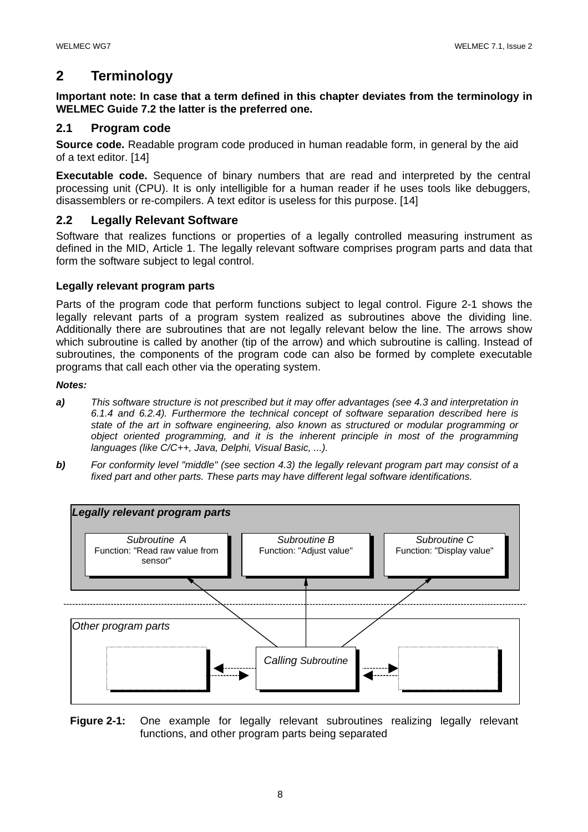# **2 Terminology**

**Important note: In case that a term defined in this chapter deviates from the terminology in WELMEC Guide 7.2 the latter is the preferred one.**

## **2.1 Program code**

**Source code.** Readable program code produced in human readable form, in general by the aid of a text editor. [14]

**Executable code.** Sequence of binary numbers that are read and interpreted by the central processing unit (CPU). It is only intelligible for a human reader if he uses tools like debuggers, disassemblers or re-compilers. A text editor is useless for this purpose. [14]

## **2.2 Legally Relevant Software**

Software that realizes functions or properties of a legally controlled measuring instrument as defined in the MID, Article 1. The legally relevant software comprises program parts and data that form the software subject to legal control.

## **Legally relevant program parts**

Parts of the program code that perform functions subject to legal control. Figure 2-1 shows the legally relevant parts of a program system realized as subroutines above the dividing line. Additionally there are subroutines that are not legally relevant below the line. The arrows show which subroutine is called by another (tip of the arrow) and which subroutine is calling. Instead of subroutines, the components of the program code can also be formed by complete executable programs that call each other via the operating system.

## *Notes:*

- *a) This software structure is not prescribed but it may offer advantages (see 4.3 and interpretation in 6.1.4 and 6.2.4). Furthermore the technical concept of software separation described here is state of the art in software engineering, also known as structured or modular programming or object oriented programming, and it is the inherent principle in most of the programming languages (like C/C++, Java, Delphi, Visual Basic, ...).*
- *b) For conformity level "middle" (see section 4.3) the legally relevant program part may consist of a fixed part and other parts. These parts may have different legal software identifications.*



**Figure 2-1:** One example for legally relevant subroutines realizing legally relevant functions, and other program parts being separated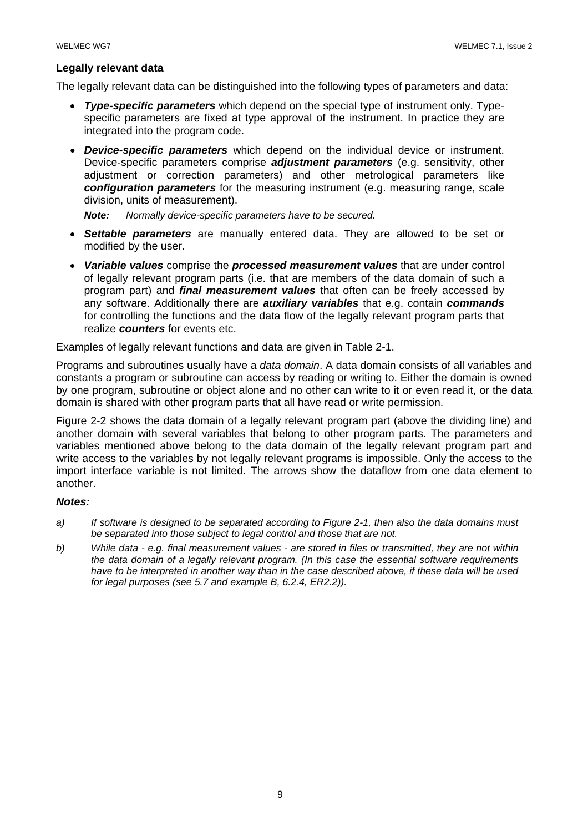## **Legally relevant data**

The legally relevant data can be distinguished into the following types of parameters and data:

- **Type-specific parameters** which depend on the special type of instrument only. Typespecific parameters are fixed at type approval of the instrument. In practice they are integrated into the program code.
- *Device-specific parameters* which depend on the individual device or instrument. Device-specific parameters comprise *adjustment parameters* (e.g. sensitivity, other adjustment or correction parameters) and other metrological parameters like *configuration parameters* for the measuring instrument (e.g. measuring range, scale division, units of measurement).

 *Note: Normally device-specific parameters have to be secured.* 

- *Settable parameters* are manually entered data. They are allowed to be set or modified by the user.
- *Variable values* comprise the *processed measurement values* that are under control of legally relevant program parts (i.e. that are members of the data domain of such a program part) and *final measurement values* that often can be freely accessed by any software. Additionally there are *auxiliary variables* that e.g. contain *commands*  for controlling the functions and the data flow of the legally relevant program parts that realize *counters* for events etc.

Examples of legally relevant functions and data are given in Table 2-1.

Programs and subroutines usually have a *data domain*. A data domain consists of all variables and constants a program or subroutine can access by reading or writing to. Either the domain is owned by one program, subroutine or object alone and no other can write to it or even read it, or the data domain is shared with other program parts that all have read or write permission.

Figure 2-2 shows the data domain of a legally relevant program part (above the dividing line) and another domain with several variables that belong to other program parts. The parameters and variables mentioned above belong to the data domain of the legally relevant program part and write access to the variables by not legally relevant programs is impossible. Only the access to the import interface variable is not limited. The arrows show the dataflow from one data element to another.

## *Notes:*

- *a) If software is designed to be separated according to Figure 2-1, then also the data domains must be separated into those subject to legal control and those that are not.*
- *b) While data e.g. final measurement values are stored in files or transmitted, they are not within the data domain of a legally relevant program. (In this case the essential software requirements have to be interpreted in another way than in the case described above, if these data will be used for legal purposes (see 5.7 and example B, 6.2.4, ER2.2)).*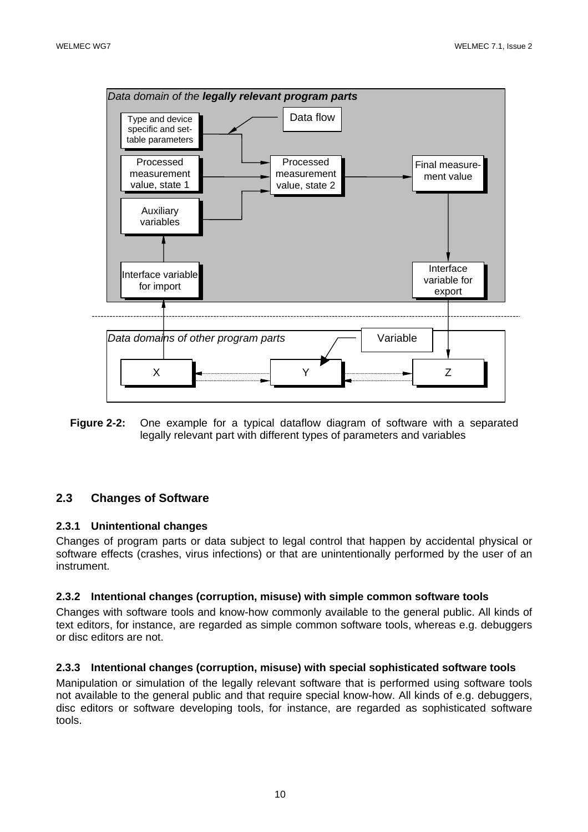

**Figure 2-2:** One example for a typical dataflow diagram of software with a separated legally relevant part with different types of parameters and variables

## **2.3 Changes of Software**

## **2.3.1 Unintentional changes**

Changes of program parts or data subject to legal control that happen by accidental physical or software effects (crashes, virus infections) or that are unintentionally performed by the user of an instrument.

## **2.3.2 Intentional changes (corruption, misuse) with simple common software tools**

Changes with software tools and know-how commonly available to the general public. All kinds of text editors, for instance, are regarded as simple common software tools, whereas e.g. debuggers or disc editors are not.

#### **2.3.3 Intentional changes (corruption, misuse) with special sophisticated software tools**

Manipulation or simulation of the legally relevant software that is performed using software tools not available to the general public and that require special know-how. All kinds of e.g. debuggers, disc editors or software developing tools, for instance, are regarded as sophisticated software tools.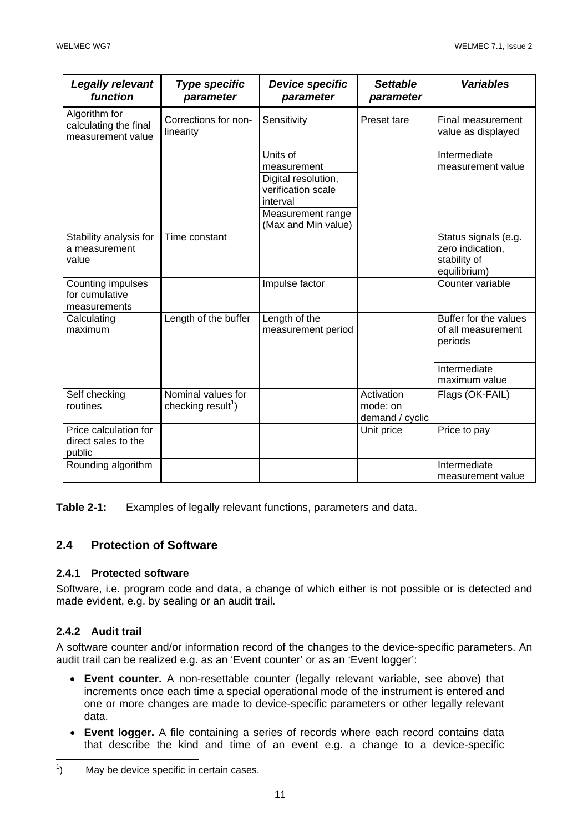| <b>Legally relevant</b><br>function                         | <b>Type specific</b><br>parameter                    | <b>Device specific</b><br>parameter                                                                                          | <b>Settable</b><br>parameter              | <b>Variables</b>                                                         |
|-------------------------------------------------------------|------------------------------------------------------|------------------------------------------------------------------------------------------------------------------------------|-------------------------------------------|--------------------------------------------------------------------------|
| Algorithm for<br>calculating the final<br>measurement value | Corrections for non-<br>linearity                    | Sensitivity                                                                                                                  | Preset tare                               | Final measurement<br>value as displayed                                  |
|                                                             |                                                      | Units of<br>measurement<br>Digital resolution,<br>verification scale<br>interval<br>Measurement range<br>(Max and Min value) |                                           | Intermediate<br>measurement value                                        |
| Stability analysis for<br>a measurement<br>value            | Time constant                                        |                                                                                                                              |                                           | Status signals (e.g.<br>zero indication,<br>stability of<br>equilibrium) |
| Counting impulses<br>for cumulative<br>measurements         |                                                      | Impulse factor                                                                                                               |                                           | Counter variable                                                         |
| Calculating<br>maximum                                      | Length of the buffer                                 | Length of the<br>measurement period                                                                                          |                                           | Buffer for the values<br>of all measurement<br>periods                   |
|                                                             |                                                      |                                                                                                                              |                                           | Intermediate<br>maximum value                                            |
| Self checking<br>routines                                   | Nominal values for<br>checking result <sup>1</sup> ) |                                                                                                                              | Activation<br>mode: on<br>demand / cyclic | Flags (OK-FAIL)                                                          |
| Price calculation for<br>direct sales to the<br>public      |                                                      |                                                                                                                              | Unit price                                | Price to pay                                                             |
| Rounding algorithm                                          |                                                      |                                                                                                                              |                                           | Intermediate<br>measurement value                                        |

**Table 2-1:** Examples of legally relevant functions, parameters and data.

## **2.4 Protection of Software**

## **2.4.1 Protected software**

Software, i.e. program code and data, a change of which either is not possible or is detected and made evident, e.g. by sealing or an audit trail.

## **2.4.2 Audit trail**

A software counter and/or information record of the changes to the device-specific parameters. An audit trail can be realized e.g. as an 'Event counter' or as an 'Event logger':

- **Event counter.** A non-resettable counter (legally relevant variable, see above) that increments once each time a special operational mode of the instrument is entered and one or more changes are made to device-specific parameters or other legally relevant data.
- **Event logger.** A file containing a series of records where each record contains data that describe the kind and time of an event e.g. a change to a device-specific

 $\frac{1}{1}$ ) May be device specific in certain cases.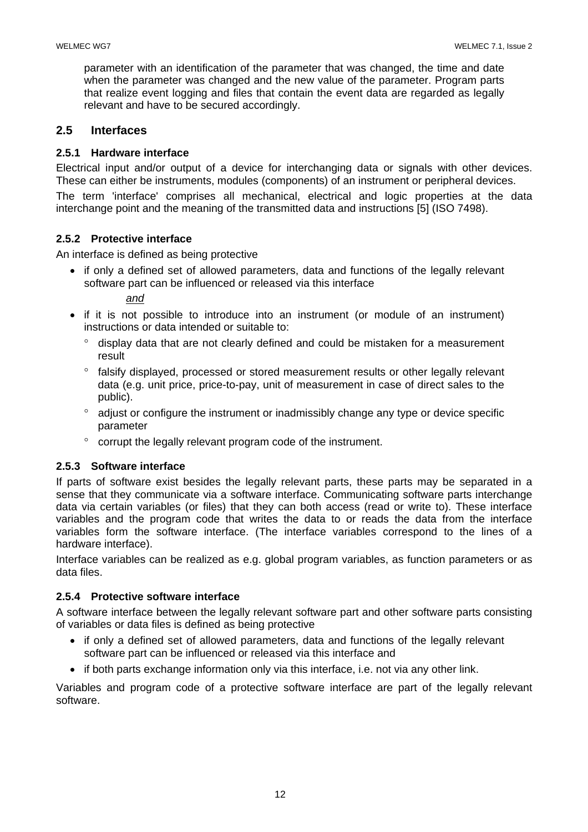parameter with an identification of the parameter that was changed, the time and date when the parameter was changed and the new value of the parameter. Program parts that realize event logging and files that contain the event data are regarded as legally relevant and have to be secured accordingly.

## **2.5 Interfaces**

## **2.5.1 Hardware interface**

Electrical input and/or output of a device for interchanging data or signals with other devices. These can either be instruments, modules (components) of an instrument or peripheral devices.

The term 'interface' comprises all mechanical, electrical and logic properties at the data interchange point and the meaning of the transmitted data and instructions [5] (ISO 7498).

## **2.5.2 Protective interface**

An interface is defined as being protective

• if only a defined set of allowed parameters, data and functions of the legally relevant software part can be influenced or released via this interface

*and*

- if it is not possible to introduce into an instrument (or module of an instrument) instructions or data intended or suitable to:
	- ° display data that are not clearly defined and could be mistaken for a measurement result
	- ° falsify displayed, processed or stored measurement results or other legally relevant data (e.g. unit price, price-to-pay, unit of measurement in case of direct sales to the public).
	- ° adjust or configure the instrument or inadmissibly change any type or device specific parameter
	- corrupt the legally relevant program code of the instrument.

## **2.5.3 Software interface**

If parts of software exist besides the legally relevant parts, these parts may be separated in a sense that they communicate via a software interface. Communicating software parts interchange data via certain variables (or files) that they can both access (read or write to). These interface variables and the program code that writes the data to or reads the data from the interface variables form the software interface. (The interface variables correspond to the lines of a hardware interface).

Interface variables can be realized as e.g. global program variables, as function parameters or as data files.

## **2.5.4 Protective software interface**

A software interface between the legally relevant software part and other software parts consisting of variables or data files is defined as being protective

- if only a defined set of allowed parameters, data and functions of the legally relevant software part can be influenced or released via this interface and
- if both parts exchange information only via this interface, i.e. not via any other link.

Variables and program code of a protective software interface are part of the legally relevant software.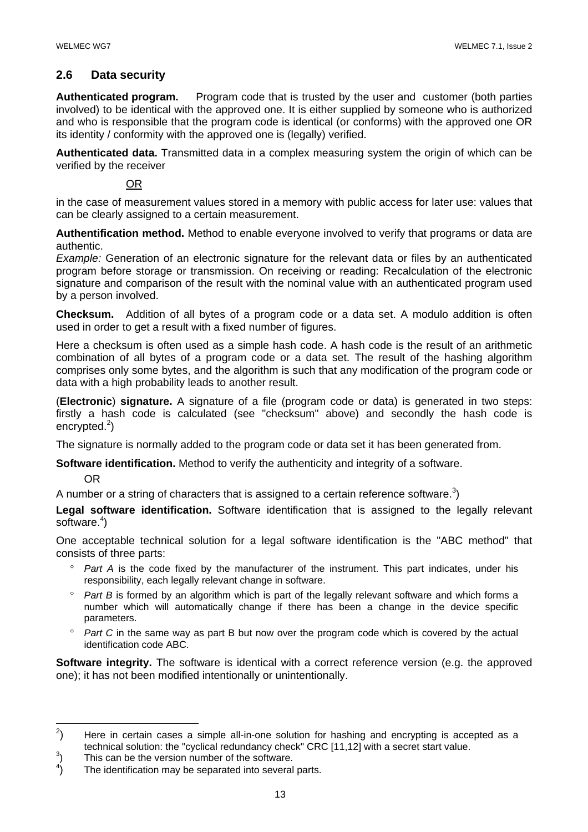## **2.6 Data security**

**Authenticated program.** Program code that is trusted by the user and customer (both parties involved) to be identical with the approved one. It is either supplied by someone who is authorized and who is responsible that the program code is identical (or conforms) with the approved one OR its identity / conformity with the approved one is (legally) verified.

**Authenticated data.** Transmitted data in a complex measuring system the origin of which can be verified by the receiver

OR

in the case of measurement values stored in a memory with public access for later use: values that can be clearly assigned to a certain measurement.

**Authentification method.** Method to enable everyone involved to verify that programs or data are authentic.

*Example:* Generation of an electronic signature for the relevant data or files by an authenticated program before storage or transmission. On receiving or reading: Recalculation of the electronic signature and comparison of the result with the nominal value with an authenticated program used by a person involved.

**Checksum.** Addition of all bytes of a program code or a data set. A modulo addition is often used in order to get a result with a fixed number of figures.

Here a checksum is often used as a simple hash code. A hash code is the result of an arithmetic combination of all bytes of a program code or a data set. The result of the hashing algorithm comprises only some bytes, and the algorithm is such that any modification of the program code or data with a high probability leads to another result.

(**Electronic**) **signature.** A signature of a file (program code or data) is generated in two steps: firstly a hash code is calculated (see "checksum" above) and secondly the hash code is encrypted.<sup>2</sup>)

The signature is normally added to the program code or data set it has been generated from.

**Software identification.** Method to verify the authenticity and integrity of a software.

OR

 $\overline{a}$ 

A number or a string of characters that is assigned to a certain reference software.<sup>3</sup>)

**Legal software identification.** Software identification that is assigned to the legally relevant software.<sup>4</sup>)

One acceptable technical solution for a legal software identification is the "ABC method" that consists of three parts:

- ° *Part A* is the code fixed by the manufacturer of the instrument. This part indicates, under his responsibility, each legally relevant change in software.
- ° *Part B* is formed by an algorithm which is part of the legally relevant software and which forms a number which will automatically change if there has been a change in the device specific parameters.
- ° *Part C* in the same way as part B but now over the program code which is covered by the actual identification code ABC.

**Software integrity.** The software is identical with a correct reference version (e.g. the approved one); it has not been modified intentionally or unintentionally.

<sup>&</sup>lt;sup>2</sup> ) Here in certain cases a simple all-in-one solution for hashing and encrypting is accepted as a technical solution: the "cyclical redundancy check" CRC [11,12] with a secret start value.

This can be the version number of the software.  $\binom{3}{4}$ 

<sup>)</sup> The identification may be separated into several parts.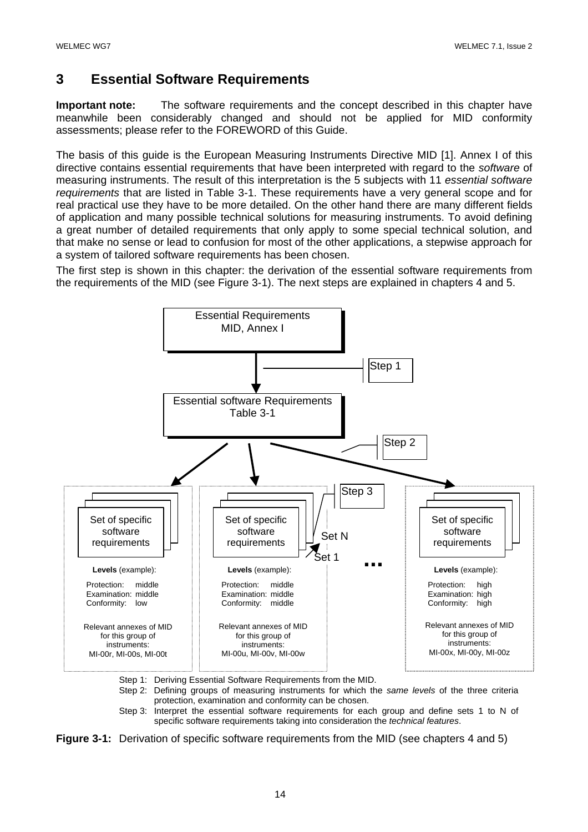# **3 Essential Software Requirements**

**Important note:** The software requirements and the concept described in this chapter have meanwhile been considerably changed and should not be applied for MID conformity assessments; please refer to the FOREWORD of this Guide.

The basis of this guide is the European Measuring Instruments Directive MID [1]. Annex I of this directive contains essential requirements that have been interpreted with regard to the *software* of measuring instruments. The result of this interpretation is the 5 subjects with 11 *essential software requirements* that are listed in Table 3-1. These requirements have a very general scope and for real practical use they have to be more detailed. On the other hand there are many different fields of application and many possible technical solutions for measuring instruments. To avoid defining a great number of detailed requirements that only apply to some special technical solution, and that make no sense or lead to confusion for most of the other applications, a stepwise approach for a system of tailored software requirements has been chosen.

The first step is shown in this chapter: the derivation of the essential software requirements from the requirements of the MID (see Figure 3-1). The next steps are explained in chapters 4 and 5.



Step 1: Deriving Essential Software Requirements from the MID.

Step 2: Defining groups of measuring instruments for which the *same levels* of the three criteria protection, examination and conformity can be chosen.

Step 3: Interpret the essential software requirements for each group and define sets 1 to N of specific software requirements taking into consideration the *technical features*.

**Figure 3-1:** Derivation of specific software requirements from the MID (see chapters 4 and 5)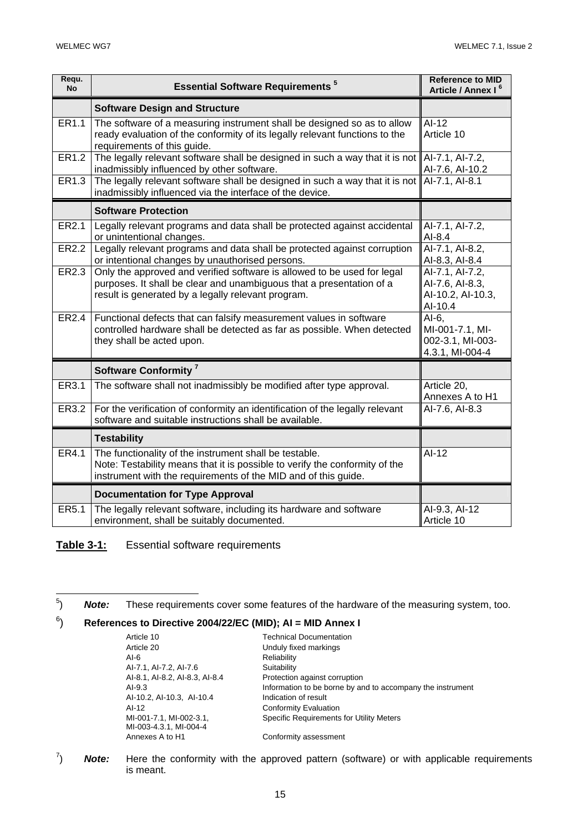| Requ.<br><b>No</b> | <b>Essential Software Requirements<sup>5</sup></b>                                                                                                                                                      | <b>Reference to MID</b><br>Article / Annex I <sup>6</sup>          |
|--------------------|---------------------------------------------------------------------------------------------------------------------------------------------------------------------------------------------------------|--------------------------------------------------------------------|
|                    | <b>Software Design and Structure</b>                                                                                                                                                                    |                                                                    |
| ER1.1              | The software of a measuring instrument shall be designed so as to allow<br>ready evaluation of the conformity of its legally relevant functions to the<br>requirements of this guide.                   | $AI-12$<br>Article 10                                              |
| ER1.2              | The legally relevant software shall be designed in such a way that it is not Al-7.1, Al-7.2,<br>inadmissibly influenced by other software.                                                              | Al-7.6, Al-10.2                                                    |
| ER1.3              | The legally relevant software shall be designed in such a way that it is not<br>inadmissibly influenced via the interface of the device.                                                                | Al-7.1, Al-8.1                                                     |
|                    | <b>Software Protection</b>                                                                                                                                                                              |                                                                    |
| ER2.1              | Legally relevant programs and data shall be protected against accidental<br>or unintentional changes.                                                                                                   | AI-7.1, AI-7.2,<br>$AI-8.4$                                        |
| ER2.2              | Legally relevant programs and data shall be protected against corruption<br>or intentional changes by unauthorised persons.                                                                             | Al-7.1, Al-8.2,<br>AI-8.3, AI-8.4                                  |
| ER2.3              | Only the approved and verified software is allowed to be used for legal<br>purposes. It shall be clear and unambiguous that a presentation of a<br>result is generated by a legally relevant program.   | AI-7.1, AI-7.2,<br>Al-7.6, Al-8.3,<br>Al-10.2, Al-10.3,<br>AI-10.4 |
| ER2.4              | Functional defects that can falsify measurement values in software<br>controlled hardware shall be detected as far as possible. When detected<br>they shall be acted upon.                              | $AI-6$ ,<br>MI-001-7.1, MI-<br>002-3.1, MI-003-<br>4.3.1, MI-004-4 |
|                    | Software Conformity <sup>7</sup>                                                                                                                                                                        |                                                                    |
| ER3.1              | The software shall not inadmissibly be modified after type approval.                                                                                                                                    | Article 20,<br>Annexes A to H1                                     |
| ER3.2              | For the verification of conformity an identification of the legally relevant<br>software and suitable instructions shall be available.                                                                  | Al-7.6, Al-8.3                                                     |
|                    | <b>Testability</b>                                                                                                                                                                                      |                                                                    |
| ER4.1              | The functionality of the instrument shall be testable.<br>Note: Testability means that it is possible to verify the conformity of the<br>instrument with the requirements of the MID and of this guide. | $AI-12$                                                            |
|                    | <b>Documentation for Type Approval</b>                                                                                                                                                                  |                                                                    |
| ER5.1              | The legally relevant software, including its hardware and software<br>environment, shall be suitably documented.                                                                                        | AI-9.3, AI-12<br>Article 10                                        |

**Table 3-1:** Essential software requirements

#### $6)$ ) **References to Directive 2004/22/EC (MID); AI = MID Annex I**

| Article 10                     | <b>Technical Documentation</b>                             |
|--------------------------------|------------------------------------------------------------|
| Article 20                     | Unduly fixed markings                                      |
| AI-6                           | Reliability                                                |
| Al-7.1, Al-7.2, Al-7.6         | Suitability                                                |
| AI-8.1, AI-8.2, AI-8.3, AI-8.4 | Protection against corruption                              |
| AI-9.3                         | Information to be borne by and to accompany the instrument |
| Al-10.2, Al-10.3, Al-10.4      | Indication of result                                       |
| AI-12                          | <b>Conformity Evaluation</b>                               |
| MI-001-7.1, MI-002-3.1,        | <b>Specific Requirements for Utility Meters</b>            |
| MI-003-4.3.1, MI-004-4         |                                                            |
| Annexes A to H1                | Conformity assessment                                      |
|                                |                                                            |

7 ) *Note:* Here the conformity with the approved pattern (software) or with applicable requirements is meant.

<sup>—&</sup>lt;br>5 ) *Note:* These requirements cover some features of the hardware of the measuring system, too.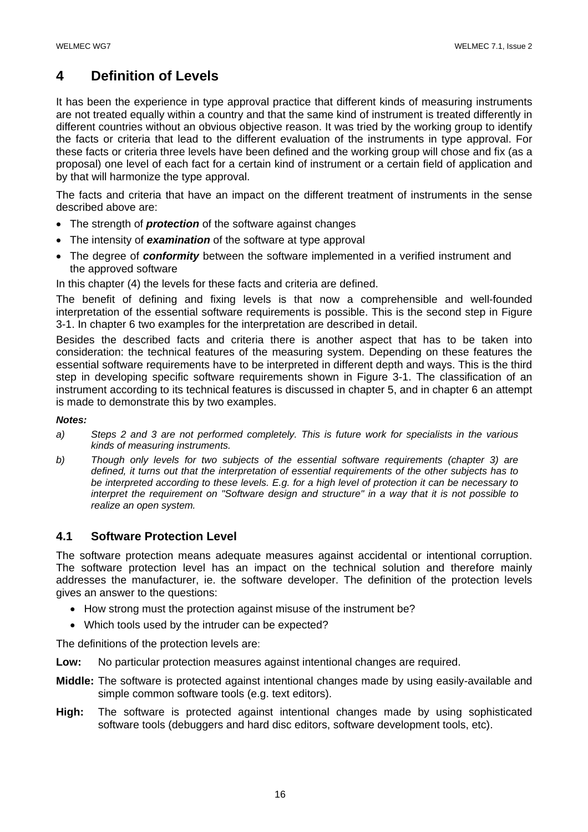# **4 Definition of Levels**

It has been the experience in type approval practice that different kinds of measuring instruments are not treated equally within a country and that the same kind of instrument is treated differently in different countries without an obvious objective reason. It was tried by the working group to identify the facts or criteria that lead to the different evaluation of the instruments in type approval. For these facts or criteria three levels have been defined and the working group will chose and fix (as a proposal) one level of each fact for a certain kind of instrument or a certain field of application and by that will harmonize the type approval.

The facts and criteria that have an impact on the different treatment of instruments in the sense described above are:

- The strength of *protection* of the software against changes
- The intensity of *examination* of the software at type approval
- The degree of *conformity* between the software implemented in a verified instrument and the approved software

In this chapter (4) the levels for these facts and criteria are defined.

The benefit of defining and fixing levels is that now a comprehensible and well-founded interpretation of the essential software requirements is possible. This is the second step in Figure 3-1. In chapter 6 two examples for the interpretation are described in detail.

Besides the described facts and criteria there is another aspect that has to be taken into consideration: the technical features of the measuring system. Depending on these features the essential software requirements have to be interpreted in different depth and ways. This is the third step in developing specific software requirements shown in Figure 3-1. The classification of an instrument according to its technical features is discussed in chapter 5, and in chapter 6 an attempt is made to demonstrate this by two examples.

#### *Notes:*

- *a) Steps 2 and 3 are not performed completely. This is future work for specialists in the various kinds of measuring instruments.*
- *b) Though only levels for two subjects of the essential software requirements (chapter 3) are defined, it turns out that the interpretation of essential requirements of the other subjects has to be interpreted according to these levels. E.g. for a high level of protection it can be necessary to interpret the requirement on "Software design and structure" in a way that it is not possible to realize an open system.*

## **4.1 Software Protection Level**

The software protection means adequate measures against accidental or intentional corruption. The software protection level has an impact on the technical solution and therefore mainly addresses the manufacturer, ie. the software developer. The definition of the protection levels gives an answer to the questions:

- How strong must the protection against misuse of the instrument be?
- Which tools used by the intruder can be expected?

The definitions of the protection levels are:

- **Low:** No particular protection measures against intentional changes are required.
- **Middle:** The software is protected against intentional changes made by using easily-available and simple common software tools (e.g. text editors).
- **High:** The software is protected against intentional changes made by using sophisticated software tools (debuggers and hard disc editors, software development tools, etc).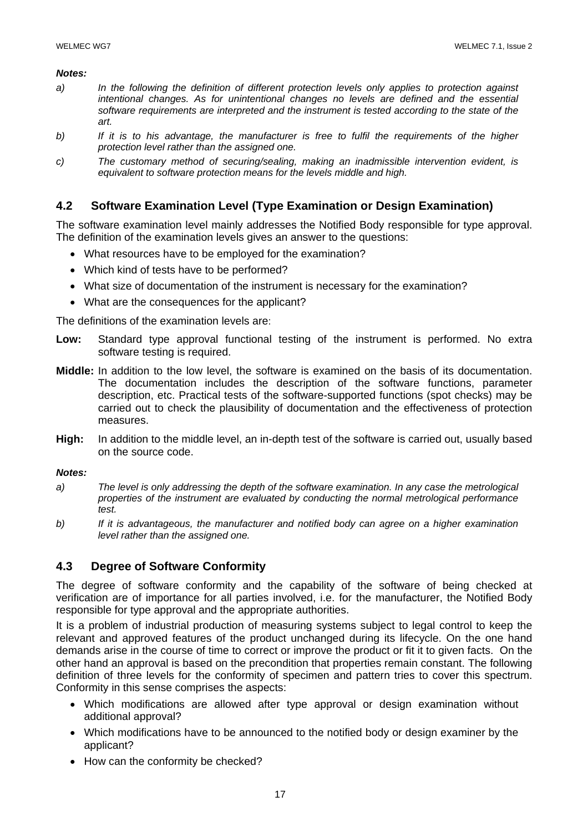#### *Notes:*

- *a) In the following the definition of different protection levels only applies to protection against intentional changes. As for unintentional changes no levels are defined and the essential software requirements are interpreted and the instrument is tested according to the state of the art.*
- *b) If it is to his advantage, the manufacturer is free to fulfil the requirements of the higher protection level rather than the assigned one.*
- *c) The customary method of securing/sealing, making an inadmissible intervention evident, is equivalent to software protection means for the levels middle and high.*

## **4.2 Software Examination Level (Type Examination or Design Examination)**

The software examination level mainly addresses the Notified Body responsible for type approval. The definition of the examination levels gives an answer to the questions:

- What resources have to be employed for the examination?
- Which kind of tests have to be performed?
- What size of documentation of the instrument is necessary for the examination?
- What are the consequences for the applicant?

The definitions of the examination levels are:

- **Low:** Standard type approval functional testing of the instrument is performed. No extra software testing is required.
- **Middle:** In addition to the low level, the software is examined on the basis of its documentation. The documentation includes the description of the software functions, parameter description, etc. Practical tests of the software-supported functions (spot checks) may be carried out to check the plausibility of documentation and the effectiveness of protection measures.
- **High:** In addition to the middle level, an in-depth test of the software is carried out, usually based on the source code.

## *Notes:*

- *a) The level is only addressing the depth of the software examination. In any case the metrological properties of the instrument are evaluated by conducting the normal metrological performance test.*
- *b) If it is advantageous, the manufacturer and notified body can agree on a higher examination level rather than the assigned one.*

## **4.3 Degree of Software Conformity**

The degree of software conformity and the capability of the software of being checked at verification are of importance for all parties involved, i.e. for the manufacturer, the Notified Body responsible for type approval and the appropriate authorities.

It is a problem of industrial production of measuring systems subject to legal control to keep the relevant and approved features of the product unchanged during its lifecycle. On the one hand demands arise in the course of time to correct or improve the product or fit it to given facts. On the other hand an approval is based on the precondition that properties remain constant. The following definition of three levels for the conformity of specimen and pattern tries to cover this spectrum. Conformity in this sense comprises the aspects:

- Which modifications are allowed after type approval or design examination without additional approval?
- Which modifications have to be announced to the notified body or design examiner by the applicant?
- How can the conformity be checked?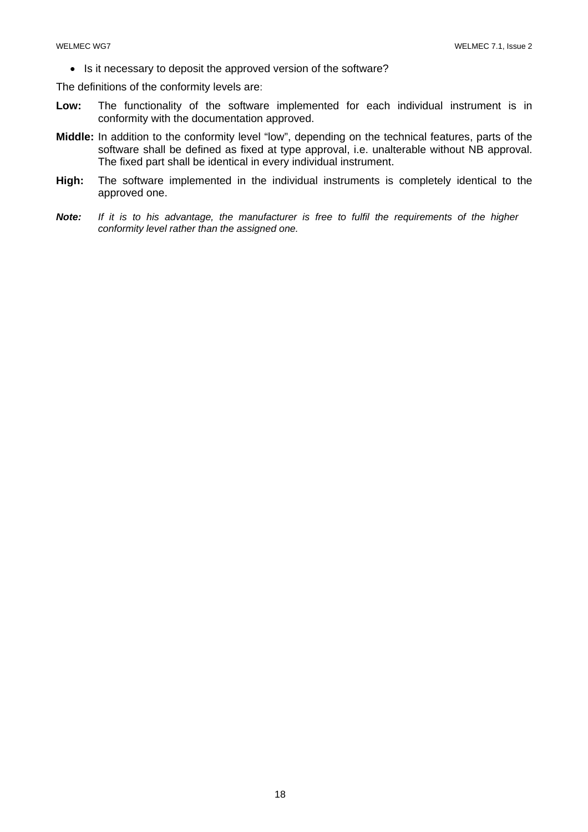• Is it necessary to deposit the approved version of the software?

The definitions of the conformity levels are:

- **Low:** The functionality of the software implemented for each individual instrument is in conformity with the documentation approved.
- **Middle:** In addition to the conformity level "low", depending on the technical features, parts of the software shall be defined as fixed at type approval, i.e. unalterable without NB approval. The fixed part shall be identical in every individual instrument.
- **High:** The software implemented in the individual instruments is completely identical to the approved one.
- *Note: If it is to his advantage, the manufacturer is free to fulfil the requirements of the higher conformity level rather than the assigned one.*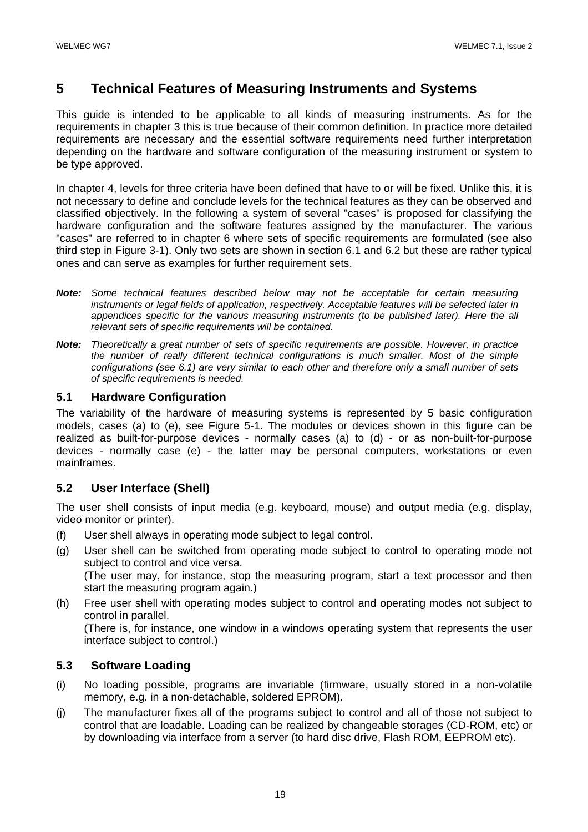## **5 Technical Features of Measuring Instruments and Systems**

This guide is intended to be applicable to all kinds of measuring instruments. As for the requirements in chapter 3 this is true because of their common definition. In practice more detailed requirements are necessary and the essential software requirements need further interpretation depending on the hardware and software configuration of the measuring instrument or system to be type approved.

In chapter 4, levels for three criteria have been defined that have to or will be fixed. Unlike this, it is not necessary to define and conclude levels for the technical features as they can be observed and classified objectively. In the following a system of several "cases" is proposed for classifying the hardware configuration and the software features assigned by the manufacturer. The various "cases" are referred to in chapter 6 where sets of specific requirements are formulated (see also third step in Figure 3-1). Only two sets are shown in section 6.1 and 6.2 but these are rather typical ones and can serve as examples for further requirement sets.

- *Note: Some technical features described below may not be acceptable for certain measuring instruments or legal fields of application, respectively. Acceptable features will be selected later in*  appendices specific for the various measuring instruments (to be published later). Here the all *relevant sets of specific requirements will be contained.*
- *Note: Theoretically a great number of sets of specific requirements are possible. However, in practice the number of really different technical configurations is much smaller. Most of the simple configurations (see 6.1) are very similar to each other and therefore only a small number of sets of specific requirements is needed.*

## **5.1 Hardware Configuration**

The variability of the hardware of measuring systems is represented by 5 basic configuration models, cases (a) to (e), see Figure 5-1. The modules or devices shown in this figure can be realized as built-for-purpose devices - normally cases (a) to (d) - or as non-built-for-purpose devices - normally case (e) - the latter may be personal computers, workstations or even mainframes.

## **5.2 User Interface (Shell)**

The user shell consists of input media (e.g. keyboard, mouse) and output media (e.g. display, video monitor or printer).

- (f) User shell always in operating mode subject to legal control.
- (g) User shell can be switched from operating mode subject to control to operating mode not subject to control and vice versa. (The user may, for instance, stop the measuring program, start a text processor and then start the measuring program again.)
- (h) Free user shell with operating modes subject to control and operating modes not subject to control in parallel.

 (There is, for instance, one window in a windows operating system that represents the user interface subject to control.)

## **5.3 Software Loading**

- (i) No loading possible, programs are invariable (firmware, usually stored in a non-volatile memory, e.g. in a non-detachable, soldered EPROM).
- (j) The manufacturer fixes all of the programs subject to control and all of those not subject to control that are loadable. Loading can be realized by changeable storages (CD-ROM, etc) or by downloading via interface from a server (to hard disc drive, Flash ROM, EEPROM etc).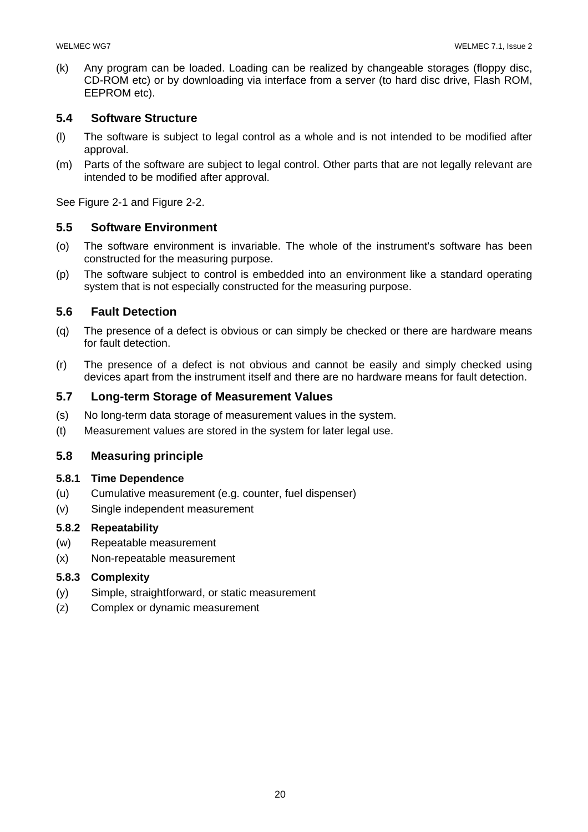(k) Any program can be loaded. Loading can be realized by changeable storages (floppy disc, CD-ROM etc) or by downloading via interface from a server (to hard disc drive, Flash ROM, EEPROM etc).

## **5.4 Software Structure**

- (l) The software is subject to legal control as a whole and is not intended to be modified after approval.
- (m) Parts of the software are subject to legal control. Other parts that are not legally relevant are intended to be modified after approval.

See Figure 2-1 and Figure 2-2.

## **5.5 Software Environment**

- (o) The software environment is invariable. The whole of the instrument's software has been constructed for the measuring purpose.
- (p) The software subject to control is embedded into an environment like a standard operating system that is not especially constructed for the measuring purpose.

## **5.6 Fault Detection**

- (q) The presence of a defect is obvious or can simply be checked or there are hardware means for fault detection.
- (r) The presence of a defect is not obvious and cannot be easily and simply checked using devices apart from the instrument itself and there are no hardware means for fault detection.

## **5.7 Long-term Storage of Measurement Values**

- (s) No long-term data storage of measurement values in the system.
- (t) Measurement values are stored in the system for later legal use.

## **5.8 Measuring principle**

## **5.8.1 Time Dependence**

- (u) Cumulative measurement (e.g. counter, fuel dispenser)
- (v) Single independent measurement

## **5.8.2 Repeatability**

- (w) Repeatable measurement
- (x) Non-repeatable measurement

## **5.8.3 Complexity**

- (y) Simple, straightforward, or static measurement
- (z) Complex or dynamic measurement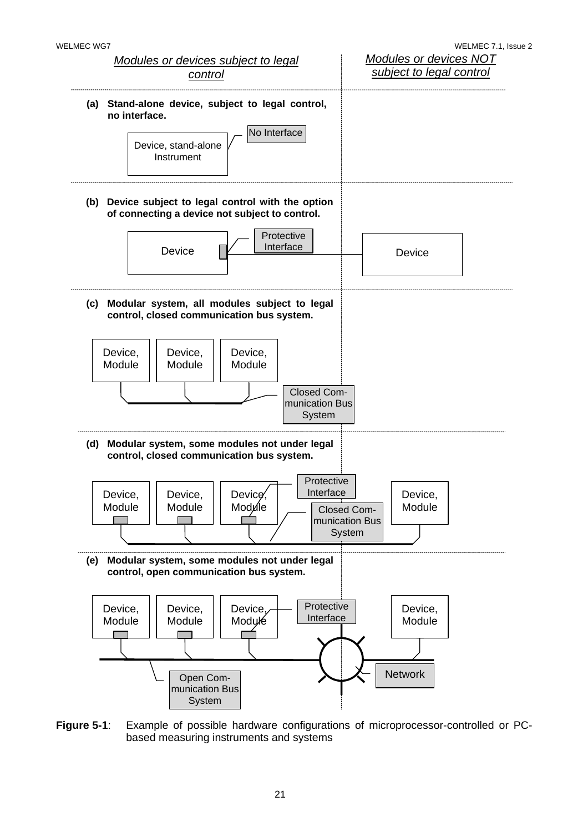

**Figure 5-1**: Example of possible hardware configurations of microprocessor-controlled or PCbased measuring instruments and systems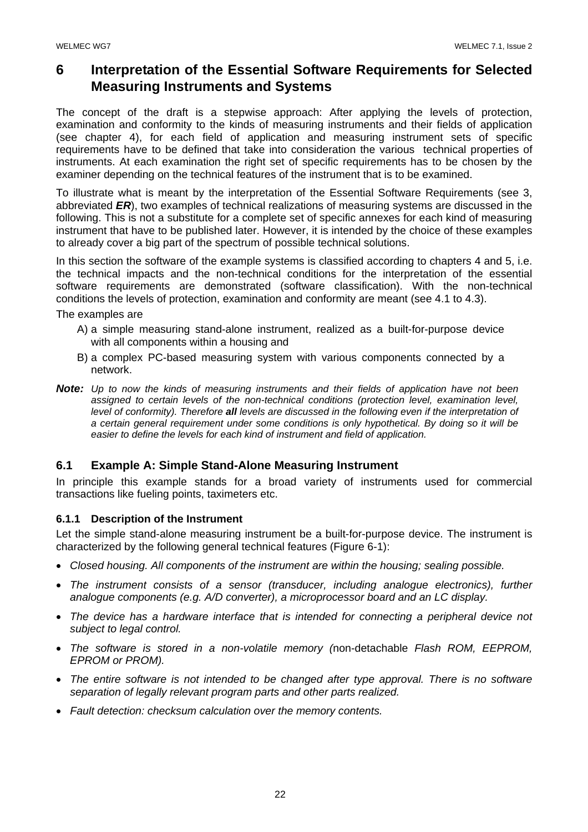## **6 Interpretation of the Essential Software Requirements for Selected Measuring Instruments and Systems**

The concept of the draft is a stepwise approach: After applying the levels of protection, examination and conformity to the kinds of measuring instruments and their fields of application (see chapter 4), for each field of application and measuring instrument sets of specific requirements have to be defined that take into consideration the various technical properties of instruments. At each examination the right set of specific requirements has to be chosen by the examiner depending on the technical features of the instrument that is to be examined.

To illustrate what is meant by the interpretation of the Essential Software Requirements (see 3, abbreviated *ER*), two examples of technical realizations of measuring systems are discussed in the following. This is not a substitute for a complete set of specific annexes for each kind of measuring instrument that have to be published later. However, it is intended by the choice of these examples to already cover a big part of the spectrum of possible technical solutions.

In this section the software of the example systems is classified according to chapters 4 and 5, i.e. the technical impacts and the non-technical conditions for the interpretation of the essential software requirements are demonstrated (software classification). With the non-technical conditions the levels of protection, examination and conformity are meant (see 4.1 to 4.3).

The examples are

- A) a simple measuring stand-alone instrument, realized as a built-for-purpose device with all components within a housing and
- B) a complex PC-based measuring system with various components connected by a network.
- *Note: Up to now the kinds of measuring instruments and their fields of application have not been*  assigned to certain levels of the non-technical conditions (protection level, examination level, *level of conformity). Therefore all levels are discussed in the following even if the interpretation of a certain general requirement under some conditions is only hypothetical. By doing so it will be easier to define the levels for each kind of instrument and field of application.*

## **6.1 Example A: Simple Stand-Alone Measuring Instrument**

In principle this example stands for a broad variety of instruments used for commercial transactions like fueling points, taximeters etc.

## **6.1.1 Description of the Instrument**

Let the simple stand-alone measuring instrument be a built-for-purpose device. The instrument is characterized by the following general technical features (Figure 6-1):

- *Closed housing. All components of the instrument are within the housing; sealing possible.*
- *The instrument consists of a sensor (transducer, including analogue electronics), further analogue components (e.g. A/D converter), a microprocessor board and an LC display.*
- *The device has a hardware interface that is intended for connecting a peripheral device not subject to legal control.*
- *The software is stored in a non-volatile memory (*non-detachable *Flash ROM, EEPROM, EPROM or PROM).*
- *The entire software is not intended to be changed after type approval. There is no software separation of legally relevant program parts and other parts realized.*
- *Fault detection: checksum calculation over the memory contents.*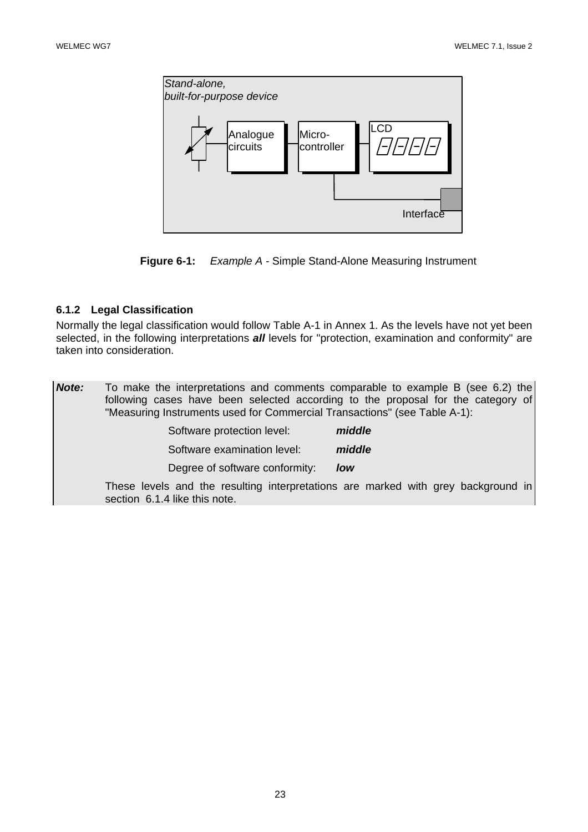



## **6.1.2 Legal Classification**

Normally the legal classification would follow Table A-1 in Annex 1. As the levels have not yet been selected, in the following interpretations *all* levels for "protection, examination and conformity" are taken into consideration.

| Note: | To make the interpretations and comments comparable to example B (see 6.2) the<br>following cases have been selected according to the proposal for the category of<br>"Measuring Instruments used for Commercial Transactions" (see Table A-1): |        |
|-------|-------------------------------------------------------------------------------------------------------------------------------------------------------------------------------------------------------------------------------------------------|--------|
|       | Software protection level:                                                                                                                                                                                                                      | middle |
|       | Software examination level:                                                                                                                                                                                                                     | middle |
|       | Degree of software conformity:                                                                                                                                                                                                                  | low    |
|       | These levels and the resulting interpretations are marked with grey background in<br>section 6.1.4 like this note.                                                                                                                              |        |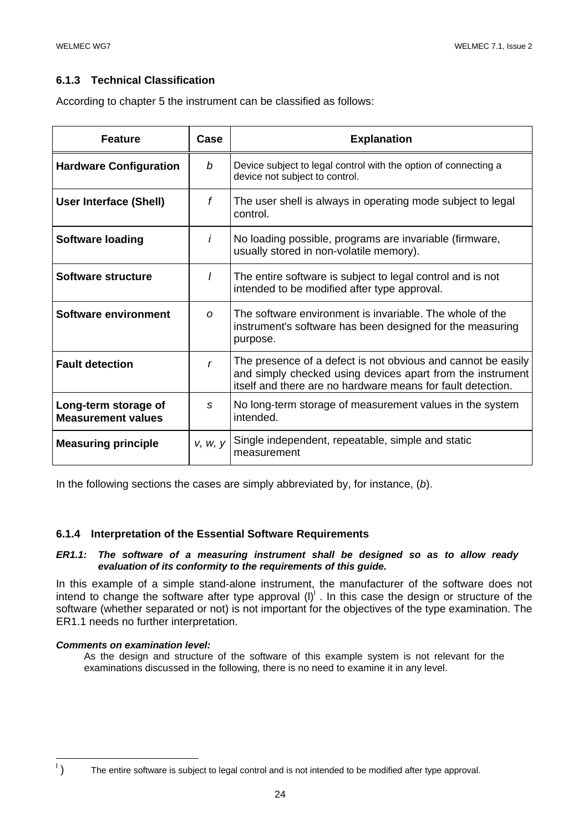## **6.1.3 Technical Classification**

According to chapter 5 the instrument can be classified as follows:

| <b>Feature</b>                                    | Case        | <b>Explanation</b>                                                                                                                                                                        |
|---------------------------------------------------|-------------|-------------------------------------------------------------------------------------------------------------------------------------------------------------------------------------------|
| <b>Hardware Configuration</b>                     | b           | Device subject to legal control with the option of connecting a<br>device not subject to control.                                                                                         |
| <b>User Interface (Shell)</b>                     | f           | The user shell is always in operating mode subject to legal<br>control.                                                                                                                   |
| <b>Software loading</b>                           | İ           | No loading possible, programs are invariable (firmware,<br>usually stored in non-volatile memory).                                                                                        |
| Software structure                                | I           | The entire software is subject to legal control and is not<br>intended to be modified after type approval.                                                                                |
| Software environment                              | O           | The software environment is invariable. The whole of the<br>instrument's software has been designed for the measuring<br>purpose.                                                         |
| <b>Fault detection</b>                            | $\mathbf r$ | The presence of a defect is not obvious and cannot be easily<br>and simply checked using devices apart from the instrument<br>itself and there are no hardware means for fault detection. |
| Long-term storage of<br><b>Measurement values</b> | S           | No long-term storage of measurement values in the system<br>intended.                                                                                                                     |
| <b>Measuring principle</b>                        | V, W, V     | Single independent, repeatable, simple and static<br>measurement                                                                                                                          |

In the following sections the cases are simply abbreviated by, for instance, (*b*).

## **6.1.4 Interpretation of the Essential Software Requirements**

#### *ER1.1: The software of a measuring instrument shall be designed so as to allow ready evaluation of its conformity to the requirements of this guide.*

In this example of a simple stand-alone instrument, the manufacturer of the software does not intend to change the software after type approval  $(I)^{l}$  . In this case the design or structure of the software (whether separated or not) is not important for the objectives of the type examination. The ER1.1 needs no further interpretation.

#### *Comments on examination level:*

As the design and structure of the software of this example system is not relevant for the examinations discussed in the following, there is no need to examine it in any level.

 $\overline{a}$  $\mathbf{L}$ 

 <sup>)</sup> The entire software is subject to legal control and is not intended to be modified after type approval.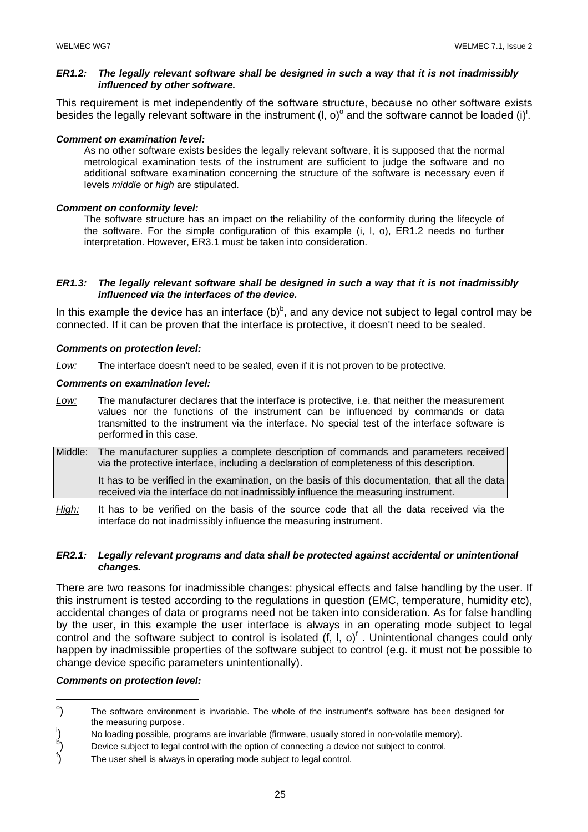#### *ER1.2: The legally relevant software shall be designed in such a way that it is not inadmissibly influenced by other software.*

This requirement is met independently of the software structure, because no other software exists besides the legally relevant software in the instrument (I, o)<sup>o</sup> and the software cannot be loaded (i)<sup>i</sup>.

#### *Comment on examination level:*

As no other software exists besides the legally relevant software, it is supposed that the normal metrological examination tests of the instrument are sufficient to judge the software and no additional software examination concerning the structure of the software is necessary even if levels *middle* or *high* are stipulated.

#### *Comment on conformity level:*

The software structure has an impact on the reliability of the conformity during the lifecycle of the software. For the simple configuration of this example (i, l, o), ER1.2 needs no further interpretation. However, ER3.1 must be taken into consideration.

#### *ER1.3: The legally relevant software shall be designed in such a way that it is not inadmissibly influenced via the interfaces of the device.*

In this example the device has an interface  $(b)^b$ , and any device not subject to legal control may be connected. If it can be proven that the interface is protective, it doesn't need to be sealed.

#### *Comments on protection level:*

*Low:* The interface doesn't need to be sealed, even if it is not proven to be protective.

#### *Comments on examination level:*

- *Low:* The manufacturer declares that the interface is protective, i.e. that neither the measurement values nor the functions of the instrument can be influenced by commands or data transmitted to the instrument via the interface. No special test of the interface software is performed in this case.
- Middle: The manufacturer supplies a complete description of commands and parameters received via the protective interface, including a declaration of completeness of this description.

 It has to be verified in the examination, on the basis of this documentation, that all the data received via the interface do not inadmissibly influence the measuring instrument.

*High:* It has to be verified on the basis of the source code that all the data received via the interface do not inadmissibly influence the measuring instrument.

#### *ER2.1: Legally relevant programs and data shall be protected against accidental or unintentional changes.*

There are two reasons for inadmissible changes: physical effects and false handling by the user. If this instrument is tested according to the regulations in question (EMC, temperature, humidity etc), accidental changes of data or programs need not be taken into consideration. As for false handling by the user, in this example the user interface is always in an operating mode subject to legal control and the software subject to control is isolated  $(f, I, o)^f$ . Unintentional changes could only happen by inadmissible properties of the software subject to control (e.g. it must not be possible to change device specific parameters unintentionally).

#### *Comments on protection level:*

o ) The software environment is invariable. The whole of the instrument's software has been designed for the measuring purpose.

i ) No loading possible, programs are invariable (firmware, usually stored in non-volatile memory). b

<sup>)</sup> Device subject to legal control with the option of connecting a device not subject to control.

f ) The user shell is always in operating mode subject to legal control.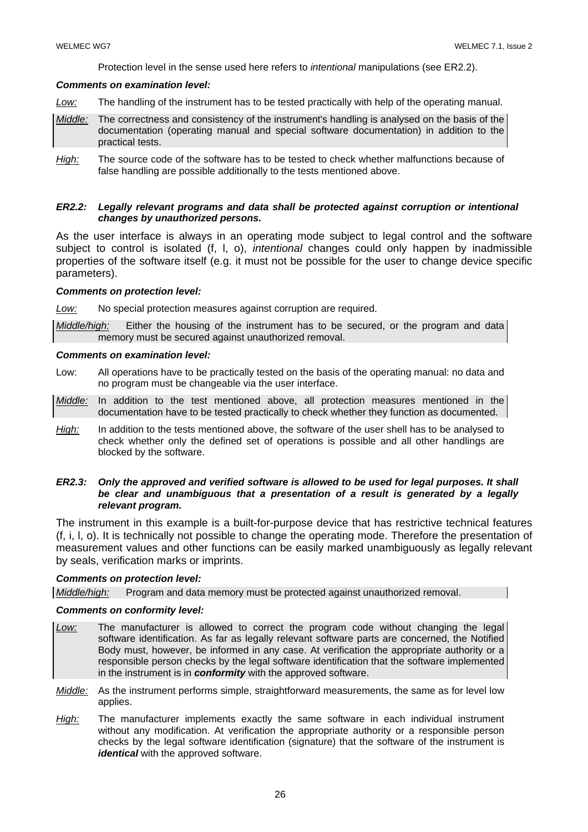Protection level in the sense used here refers to *intentional* manipulations (see ER2.2).

#### *Comments on examination level:*

- *Low:* The handling of the instrument has to be tested practically with help of the operating manual.
- *Middle:* The correctness and consistency of the instrument's handling is analysed on the basis of the documentation (operating manual and special software documentation) in addition to the practical tests.
- *High:* The source code of the software has to be tested to check whether malfunctions because of false handling are possible additionally to the tests mentioned above.

#### *ER2.2: Legally relevant programs and data shall be protected against corruption or intentional changes by unauthorized persons.*

As the user interface is always in an operating mode subject to legal control and the software subject to control is isolated (f, l, o), *intentional* changes could only happen by inadmissible properties of the software itself (e.g. it must not be possible for the user to change device specific parameters).

#### *Comments on protection level:*

*Low:* No special protection measures against corruption are required.

*Middle/high:* Either the housing of the instrument has to be secured, or the program and data memory must be secured against unauthorized removal.

#### *Comments on examination level:*

- Low: All operations have to be practically tested on the basis of the operating manual: no data and no program must be changeable via the user interface.
- *Middle:* In addition to the test mentioned above, all protection measures mentioned in the documentation have to be tested practically to check whether they function as documented.
- *High:* In addition to the tests mentioned above, the software of the user shell has to be analysed to check whether only the defined set of operations is possible and all other handlings are blocked by the software.

#### *ER2.3:* Only the approved and verified software is allowed to be used for legal purposes. It shall *be clear and unambiguous that a presentation of a result is generated by a legally relevant program.*

The instrument in this example is a built-for-purpose device that has restrictive technical features (f, i, l, o). It is technically not possible to change the operating mode. Therefore the presentation of measurement values and other functions can be easily marked unambiguously as legally relevant by seals, verification marks or imprints.

#### *Comments on protection level:*

*Middle/high:* Program and data memory must be protected against unauthorized removal.

#### *Comments on conformity level:*

- *Low:* The manufacturer is allowed to correct the program code without changing the legal software identification. As far as legally relevant software parts are concerned, the Notified Body must, however, be informed in any case. At verification the appropriate authority or a responsible person checks by the legal software identification that the software implemented in the instrument is in *conformity* with the approved software.
- *Middle:* As the instrument performs simple, straightforward measurements, the same as for level low applies.
- *High:* The manufacturer implements exactly the same software in each individual instrument without any modification. At verification the appropriate authority or a responsible person checks by the legal software identification (signature) that the software of the instrument is *identical* with the approved software.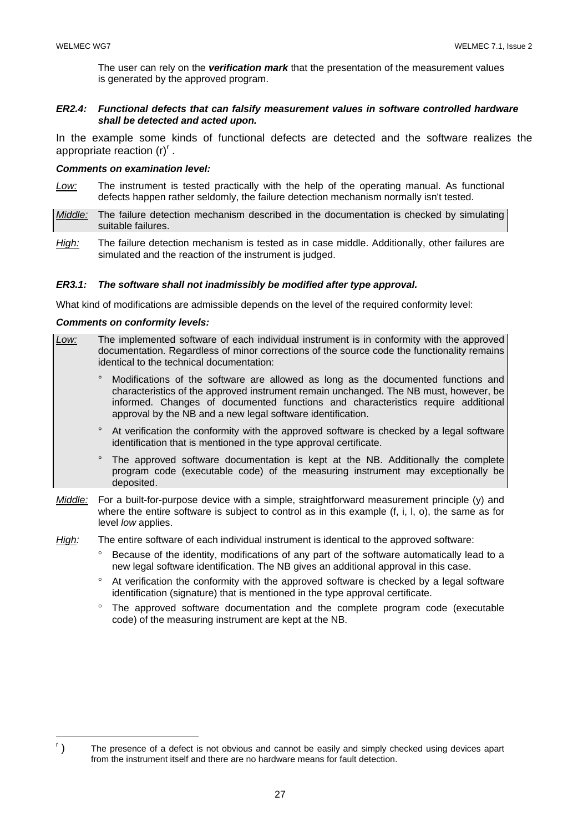The user can rely on the *verification mark* that the presentation of the measurement values is generated by the approved program.

#### *ER2.4: Functional defects that can falsify measurement values in software controlled hardware shall be detected and acted upon.*

In the example some kinds of functional defects are detected and the software realizes the appropriate reaction  $(r)^r$ .

#### *Comments on examination level:*

- *Low:* The instrument is tested practically with the help of the operating manual. As functional defects happen rather seldomly, the failure detection mechanism normally isn't tested.
- *Middle:* The failure detection mechanism described in the documentation is checked by simulating suitable failures.
- *High:* The failure detection mechanism is tested as in case middle. Additionally, other failures are simulated and the reaction of the instrument is judged.

#### *ER3.1: The software shall not inadmissibly be modified after type approval.*

What kind of modifications are admissible depends on the level of the required conformity level:

#### *Comments on conformity levels:*

- *Low:* The implemented software of each individual instrument is in conformity with the approved documentation. Regardless of minor corrections of the source code the functionality remains identical to the technical documentation:
	- ° Modifications of the software are allowed as long as the documented functions and characteristics of the approved instrument remain unchanged. The NB must, however, be informed. Changes of documented functions and characteristics require additional approval by the NB and a new legal software identification.
	- ° At verification the conformity with the approved software is checked by a legal software identification that is mentioned in the type approval certificate.
	- The approved software documentation is kept at the NB. Additionally the complete program code (executable code) of the measuring instrument may exceptionally be deposited.
- *Middle:* For a built-for-purpose device with a simple, straightforward measurement principle (y) and where the entire software is subject to control as in this example (f, i, l, o), the same as for level *low* applies.

*High:* The entire software of each individual instrument is identical to the approved software:

- Because of the identity, modifications of any part of the software automatically lead to a new legal software identification. The NB gives an additional approval in this case.
- ° At verification the conformity with the approved software is checked by a legal software identification (signature) that is mentioned in the type approval certificate.
- ° The approved software documentation and the complete program code (executable code) of the measuring instrument are kept at the NB.

r ) The presence of a defect is not obvious and cannot be easily and simply checked using devices apart from the instrument itself and there are no hardware means for fault detection.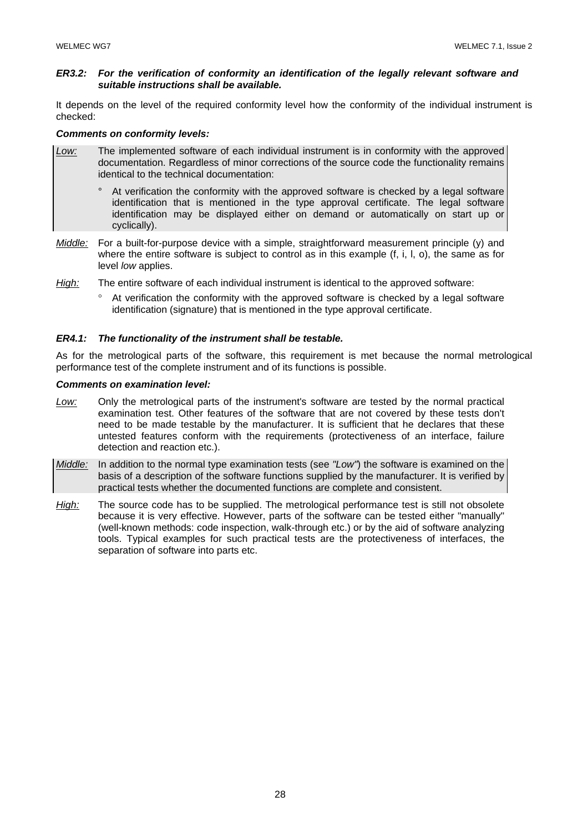#### *ER3.2: For the verification of conformity an identification of the legally relevant software and suitable instructions shall be available.*

It depends on the level of the required conformity level how the conformity of the individual instrument is checked:

#### *Comments on conformity levels:*

- *Low:* The implemented software of each individual instrument is in conformity with the approved documentation. Regardless of minor corrections of the source code the functionality remains identical to the technical documentation:
	- ° At verification the conformity with the approved software is checked by a legal software identification that is mentioned in the type approval certificate. The legal software identification may be displayed either on demand or automatically on start up or cyclically).
- *Middle:* For a built-for-purpose device with a simple, straightforward measurement principle (y) and where the entire software is subject to control as in this example (f, i, l, o), the same as for level *low* applies.
- *High:* The entire software of each individual instrument is identical to the approved software:
	- ° At verification the conformity with the approved software is checked by a legal software identification (signature) that is mentioned in the type approval certificate.

#### *ER4.1: The functionality of the instrument shall be testable.*

As for the metrological parts of the software, this requirement is met because the normal metrological performance test of the complete instrument and of its functions is possible.

#### *Comments on examination level:*

- *Low:* Only the metrological parts of the instrument's software are tested by the normal practical examination test. Other features of the software that are not covered by these tests don't need to be made testable by the manufacturer. It is sufficient that he declares that these untested features conform with the requirements (protectiveness of an interface, failure detection and reaction etc.).
- *Middle:* In addition to the normal type examination tests (see *"Low"*) the software is examined on the basis of a description of the software functions supplied by the manufacturer. It is verified by practical tests whether the documented functions are complete and consistent.
- *High:* The source code has to be supplied. The metrological performance test is still not obsolete because it is very effective. However, parts of the software can be tested either "manually" (well-known methods: code inspection, walk-through etc.) or by the aid of software analyzing tools. Typical examples for such practical tests are the protectiveness of interfaces, the separation of software into parts etc.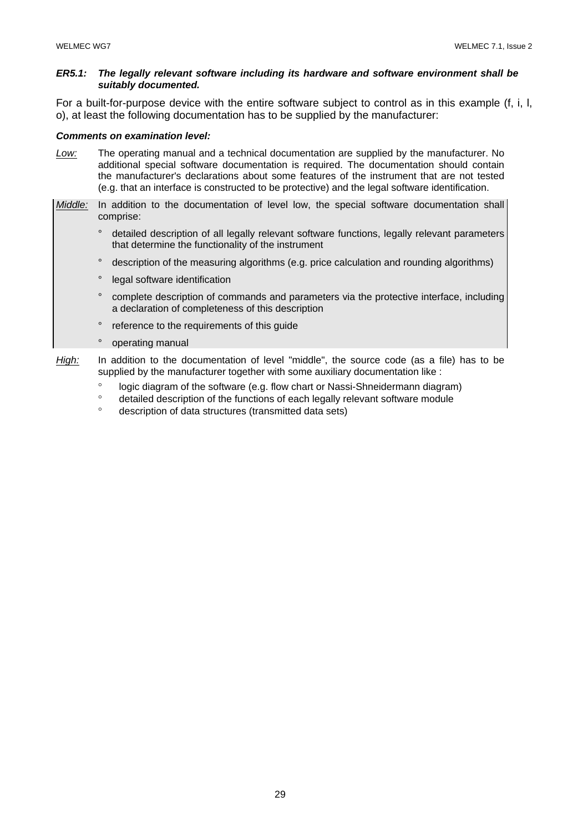#### *ER5.1: The legally relevant software including its hardware and software environment shall be suitably documented.*

For a built-for-purpose device with the entire software subject to control as in this example (f, i, l, o), at least the following documentation has to be supplied by the manufacturer:

#### *Comments on examination level:*

- *Low:* The operating manual and a technical documentation are supplied by the manufacturer. No additional special software documentation is required. The documentation should contain the manufacturer's declarations about some features of the instrument that are not tested (e.g. that an interface is constructed to be protective) and the legal software identification.
- *Middle:* In addition to the documentation of level low, the special software documentation shall comprise:
	- ° detailed description of all legally relevant software functions, legally relevant parameters that determine the functionality of the instrument
	- ° description of the measuring algorithms (e.g. price calculation and rounding algorithms)
	- ° legal software identification
	- ° complete description of commands and parameters via the protective interface, including a declaration of completeness of this description
	- ° reference to the requirements of this guide
	- ° operating manual
- *High:* In addition to the documentation of level "middle", the source code (as a file) has to be supplied by the manufacturer together with some auxiliary documentation like :
	- ° logic diagram of the software (e.g. flow chart or Nassi-Shneidermann diagram)<br>
	short-ilog description of the functions of each logally relevant software module
	- ° detailed description of the functions of each legally relevant software module
	- ° description of data structures (transmitted data sets)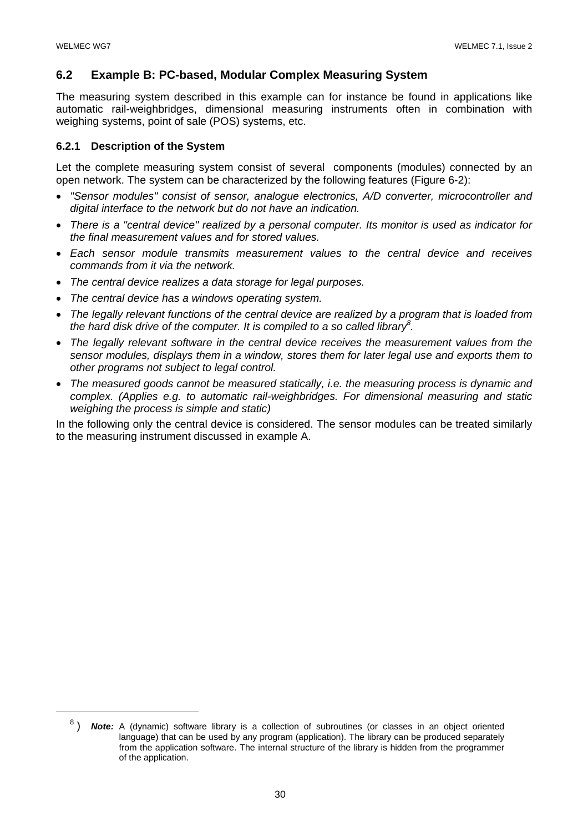## **6.2 Example B: PC-based, Modular Complex Measuring System**

The measuring system described in this example can for instance be found in applications like automatic rail-weighbridges, dimensional measuring instruments often in combination with weighing systems, point of sale (POS) systems, etc.

## **6.2.1 Description of the System**

Let the complete measuring system consist of several components (modules) connected by an open network. The system can be characterized by the following features (Figure 6-2):

- *"Sensor modules" consist of sensor, analogue electronics, A/D converter, microcontroller and digital interface to the network but do not have an indication.*
- *There is a "central device" realized by a personal computer. Its monitor is used as indicator for the final measurement values and for stored values.*
- *Each sensor module transmits measurement values to the central device and receives commands from it via the network.*
- *The central device realizes a data storage for legal purposes.*
- *The central device has a windows operating system.*
- *The legally relevant functions of the central device are realized by a program that is loaded from the hard disk drive of the computer. It is compiled to a so called library<sup>8</sup> .*
- *The legally relevant software in the central device receives the measurement values from the sensor modules, displays them in a window, stores them for later legal use and exports them to other programs not subject to legal control.*
- *The measured goods cannot be measured statically, i.e. the measuring process is dynamic and complex. (Applies e.g. to automatic rail-weighbridges. For dimensional measuring and static weighing the process is simple and static)*

In the following only the central device is considered. The sensor modules can be treated similarly to the measuring instrument discussed in example A.

 <sup>8</sup> ) *Note:* A (dynamic) software library is a collection of subroutines (or classes in an object oriented language) that can be used by any program (application). The library can be produced separately from the application software. The internal structure of the library is hidden from the programmer of the application.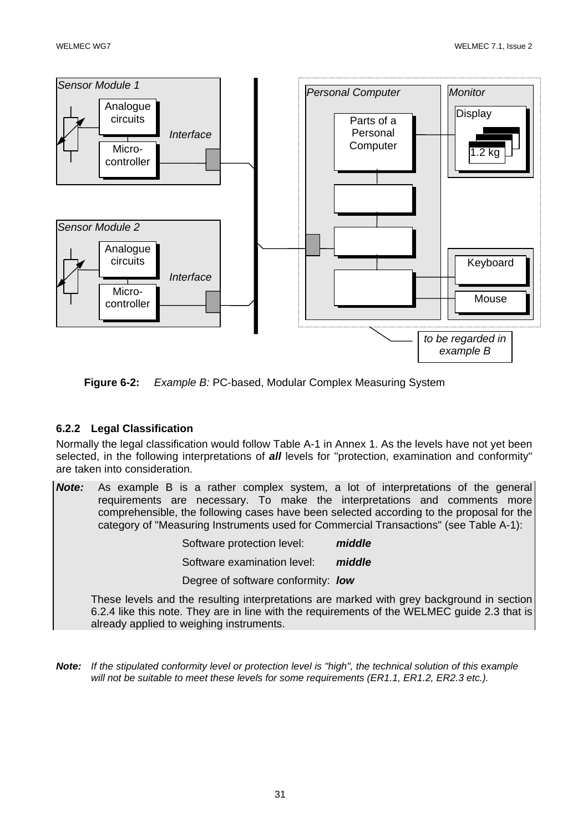

**Figure 6-2:** *Example B:* PC-based, Modular Complex Measuring System

## **6.2.2 Legal Classification**

Normally the legal classification would follow Table A-1 in Annex 1. As the levels have not yet been selected, in the following interpretations of *all* levels for "protection, examination and conformity" are taken into consideration.

*Note:* As example B is a rather complex system, a lot of interpretations of the general requirements are necessary. To make the interpretations and comments more comprehensible, the following cases have been selected according to the proposal for the category of "Measuring Instruments used for Commercial Transactions" (see Table A-1):

| Software protection level:         | middle |
|------------------------------------|--------|
| Software examination level:        | middle |
| Degree of software conformity: low |        |

 These levels and the resulting interpretations are marked with grey background in section 6.2.4 like this note. They are in line with the requirements of the WELMEC guide 2.3 that is already applied to weighing instruments.

*Note: If the stipulated conformity level or protection level is "high", the technical solution of this example*  will not be suitable to meet these levels for some requirements (ER1.1, ER1.2, ER2.3 etc.).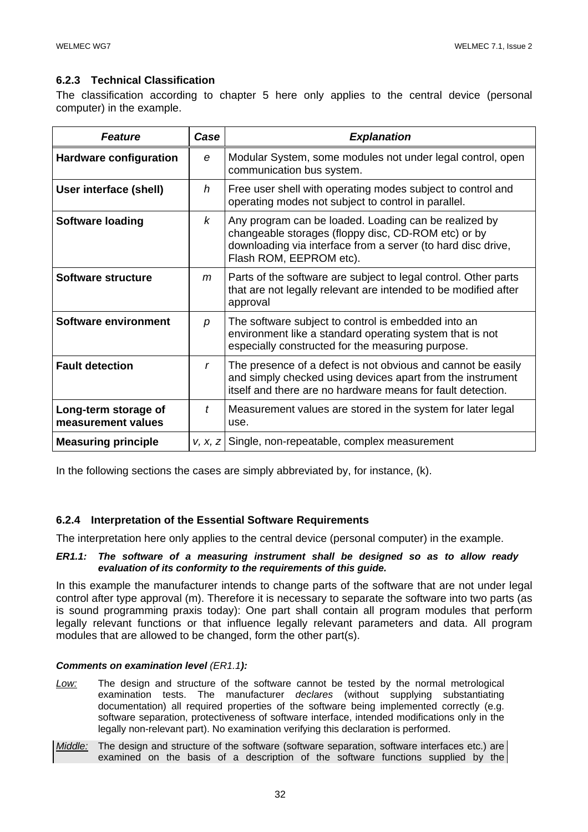## **6.2.3 Technical Classification**

The classification according to chapter 5 here only applies to the central device (personal computer) in the example.

| <b>Feature</b>                             | Case | <b>Explanation</b>                                                                                                                                                                                      |
|--------------------------------------------|------|---------------------------------------------------------------------------------------------------------------------------------------------------------------------------------------------------------|
| <b>Hardware configuration</b>              | e    | Modular System, some modules not under legal control, open<br>communication bus system.                                                                                                                 |
| User interface (shell)                     | h    | Free user shell with operating modes subject to control and<br>operating modes not subject to control in parallel.                                                                                      |
| <b>Software loading</b>                    | k    | Any program can be loaded. Loading can be realized by<br>changeable storages (floppy disc, CD-ROM etc) or by<br>downloading via interface from a server (to hard disc drive,<br>Flash ROM, EEPROM etc). |
| Software structure                         | m    | Parts of the software are subject to legal control. Other parts<br>that are not legally relevant are intended to be modified after<br>approval                                                          |
| Software environment                       | р    | The software subject to control is embedded into an<br>environment like a standard operating system that is not<br>especially constructed for the measuring purpose.                                    |
| <b>Fault detection</b>                     | r    | The presence of a defect is not obvious and cannot be easily<br>and simply checked using devices apart from the instrument<br>itself and there are no hardware means for fault detection.               |
| Long-term storage of<br>measurement values | t    | Measurement values are stored in the system for later legal<br>use.                                                                                                                                     |
| <b>Measuring principle</b>                 |      | v, x, z Single, non-repeatable, complex measurement                                                                                                                                                     |

In the following sections the cases are simply abbreviated by, for instance, (k).

## **6.2.4 Interpretation of the Essential Software Requirements**

The interpretation here only applies to the central device (personal computer) in the example.

#### *ER1.1: The software of a measuring instrument shall be designed so as to allow ready evaluation of its conformity to the requirements of this guide.*

In this example the manufacturer intends to change parts of the software that are not under legal control after type approval (m). Therefore it is necessary to separate the software into two parts (as is sound programming praxis today): One part shall contain all program modules that perform legally relevant functions or that influence legally relevant parameters and data. All program modules that are allowed to be changed, form the other part(s).

#### *Comments on examination level (ER1.1):*

- *Low:* The design and structure of the software cannot be tested by the normal metrological examination tests. The manufacturer *declares* (without supplying substantiating documentation) all required properties of the software being implemented correctly (e.g. software separation, protectiveness of software interface, intended modifications only in the legally non-relevant part). No examination verifying this declaration is performed.
- *Middle:* The design and structure of the software (software separation, software interfaces etc.) are examined on the basis of a description of the software functions supplied by the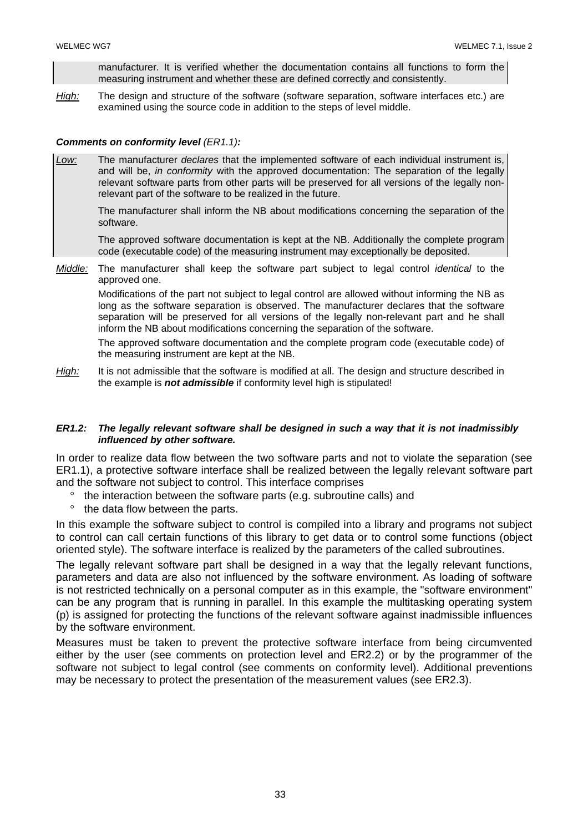manufacturer. It is verified whether the documentation contains all functions to form the measuring instrument and whether these are defined correctly and consistently.

*High:* The design and structure of the software (software separation, software interfaces etc.) are examined using the source code in addition to the steps of level middle.

#### *Comments on conformity level (ER1.1):*

*Low:* The manufacturer *declares* that the implemented software of each individual instrument is, and will be, *in conformity* with the approved documentation: The separation of the legally relevant software parts from other parts will be preserved for all versions of the legally nonrelevant part of the software to be realized in the future.

 The manufacturer shall inform the NB about modifications concerning the separation of the software.

 The approved software documentation is kept at the NB. Additionally the complete program code (executable code) of the measuring instrument may exceptionally be deposited.

*Middle:* The manufacturer shall keep the software part subject to legal control *identical* to the approved one.

Modifications of the part not subject to legal control are allowed without informing the NB as long as the software separation is observed. The manufacturer declares that the software separation will be preserved for all versions of the legally non-relevant part and he shall inform the NB about modifications concerning the separation of the software.

The approved software documentation and the complete program code (executable code) of the measuring instrument are kept at the NB.

*High:* It is not admissible that the software is modified at all. The design and structure described in the example is *not admissible* if conformity level high is stipulated!

#### *ER1.2: The legally relevant software shall be designed in such a way that it is not inadmissibly influenced by other software.*

In order to realize data flow between the two software parts and not to violate the separation (see ER1.1), a protective software interface shall be realized between the legally relevant software part and the software not subject to control. This interface comprises

- ° the interaction between the software parts (e.g. subroutine calls) and
- ° the data flow between the parts.

In this example the software subject to control is compiled into a library and programs not subject to control can call certain functions of this library to get data or to control some functions (object oriented style). The software interface is realized by the parameters of the called subroutines.

The legally relevant software part shall be designed in a way that the legally relevant functions, parameters and data are also not influenced by the software environment. As loading of software is not restricted technically on a personal computer as in this example, the "software environment" can be any program that is running in parallel. In this example the multitasking operating system (p) is assigned for protecting the functions of the relevant software against inadmissible influences by the software environment.

Measures must be taken to prevent the protective software interface from being circumvented either by the user (see comments on protection level and ER2.2) or by the programmer of the software not subject to legal control (see comments on conformity level). Additional preventions may be necessary to protect the presentation of the measurement values (see ER2.3).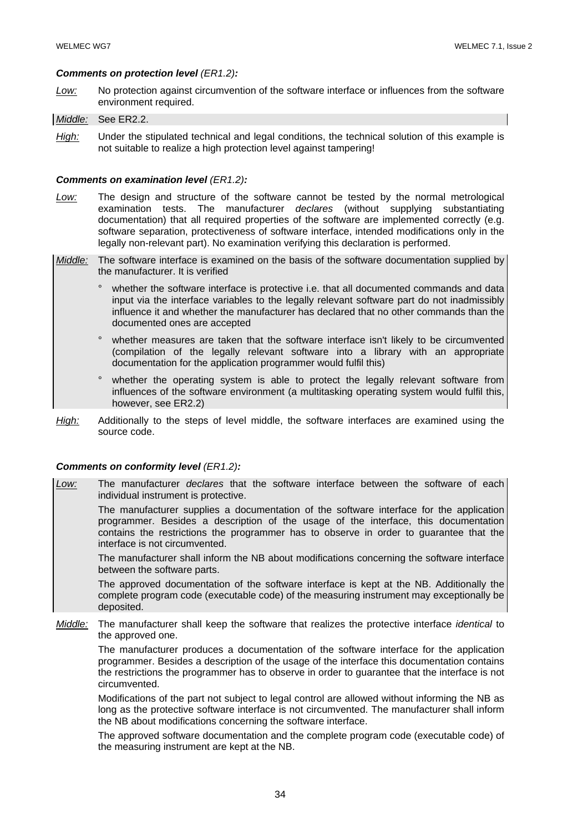#### *Comments on protection level (ER1.2):*

*Low:* No protection against circumvention of the software interface or influences from the software environment required.

#### *Middle:* See ER2.2.

*High:* Under the stipulated technical and legal conditions, the technical solution of this example is not suitable to realize a high protection level against tampering!

#### *Comments on examination level (ER1.2):*

- *Low:* The design and structure of the software cannot be tested by the normal metrological examination tests. The manufacturer *declares* (without supplying substantiating documentation) that all required properties of the software are implemented correctly (e.g. software separation, protectiveness of software interface, intended modifications only in the legally non-relevant part). No examination verifying this declaration is performed.
- *Middle:* The software interface is examined on the basis of the software documentation supplied by the manufacturer. It is verified
	- whether the software interface is protective i.e. that all documented commands and data input via the interface variables to the legally relevant software part do not inadmissibly influence it and whether the manufacturer has declared that no other commands than the documented ones are accepted
	- whether measures are taken that the software interface isn't likely to be circumvented (compilation of the legally relevant software into a library with an appropriate documentation for the application programmer would fulfil this)
	- ° whether the operating system is able to protect the legally relevant software from influences of the software environment (a multitasking operating system would fulfil this, however, see ER2.2)
- *High:* Additionally to the steps of level middle, the software interfaces are examined using the source code.

#### *Comments on conformity level (ER1.2):*

*Low:* The manufacturer *declares* that the software interface between the software of each individual instrument is protective.

 The manufacturer supplies a documentation of the software interface for the application programmer. Besides a description of the usage of the interface, this documentation contains the restrictions the programmer has to observe in order to guarantee that the interface is not circumvented.

 The manufacturer shall inform the NB about modifications concerning the software interface between the software parts.

 The approved documentation of the software interface is kept at the NB. Additionally the complete program code (executable code) of the measuring instrument may exceptionally be deposited.

*Middle:* The manufacturer shall keep the software that realizes the protective interface *identical* to the approved one.

 The manufacturer produces a documentation of the software interface for the application programmer. Besides a description of the usage of the interface this documentation contains the restrictions the programmer has to observe in order to guarantee that the interface is not circumvented.

Modifications of the part not subject to legal control are allowed without informing the NB as long as the protective software interface is not circumvented. The manufacturer shall inform the NB about modifications concerning the software interface.

The approved software documentation and the complete program code (executable code) of the measuring instrument are kept at the NB.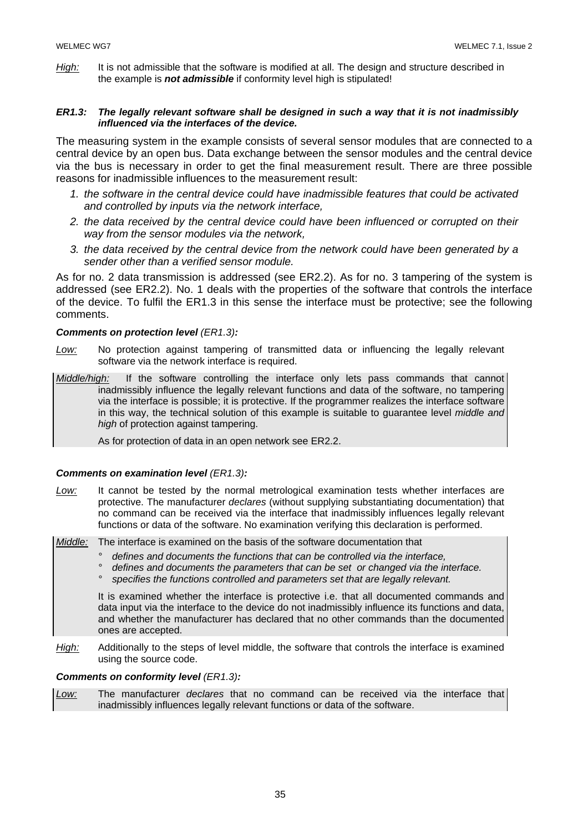*High:* It is not admissible that the software is modified at all. The design and structure described in the example is *not admissible* if conformity level high is stipulated!

#### *ER1.3: The legally relevant software shall be designed in such a way that it is not inadmissibly influenced via the interfaces of the device.*

The measuring system in the example consists of several sensor modules that are connected to a central device by an open bus. Data exchange between the sensor modules and the central device via the bus is necessary in order to get the final measurement result. There are three possible reasons for inadmissible influences to the measurement result:

- *1. the software in the central device could have inadmissible features that could be activated and controlled by inputs via the network interface,*
- *2. the data received by the central device could have been influenced or corrupted on their way from the sensor modules via the network,*
- *3. the data received by the central device from the network could have been generated by a sender other than a verified sensor module.*

As for no. 2 data transmission is addressed (see ER2.2). As for no. 3 tampering of the system is addressed (see ER2.2). No. 1 deals with the properties of the software that controls the interface of the device. To fulfil the ER1.3 in this sense the interface must be protective; see the following comments.

#### *Comments on protection level (ER1.3):*

*Low:* No protection against tampering of transmitted data or influencing the legally relevant software via the network interface is required.

*Middle/high:* If the software controlling the interface only lets pass commands that cannot inadmissibly influence the legally relevant functions and data of the software, no tampering via the interface is possible; it is protective. If the programmer realizes the interface software in this way, the technical solution of this example is suitable to guarantee level *middle and high* of protection against tampering.

As for protection of data in an open network see ER2.2.

#### *Comments on examination level (ER1.3):*

*Low:* It cannot be tested by the normal metrological examination tests whether interfaces are protective. The manufacturer *declares* (without supplying substantiating documentation) that no command can be received via the interface that inadmissibly influences legally relevant functions or data of the software. No examination verifying this declaration is performed.

*Middle:* The interface is examined on the basis of the software documentation that

- *° defines and documents the functions that can be controlled via the interface,*
- *° defines and documents the parameters that can be set or changed via the interface.*
- *° specifies the functions controlled and parameters set that are legally relevant.*

 It is examined whether the interface is protective i.e. that all documented commands and data input via the interface to the device do not inadmissibly influence its functions and data, and whether the manufacturer has declared that no other commands than the documented ones are accepted.

*High:* Additionally to the steps of level middle, the software that controls the interface is examined using the source code.

#### *Comments on conformity level (ER1.3):*

*Low:* The manufacturer *declares* that no command can be received via the interface that inadmissibly influences legally relevant functions or data of the software.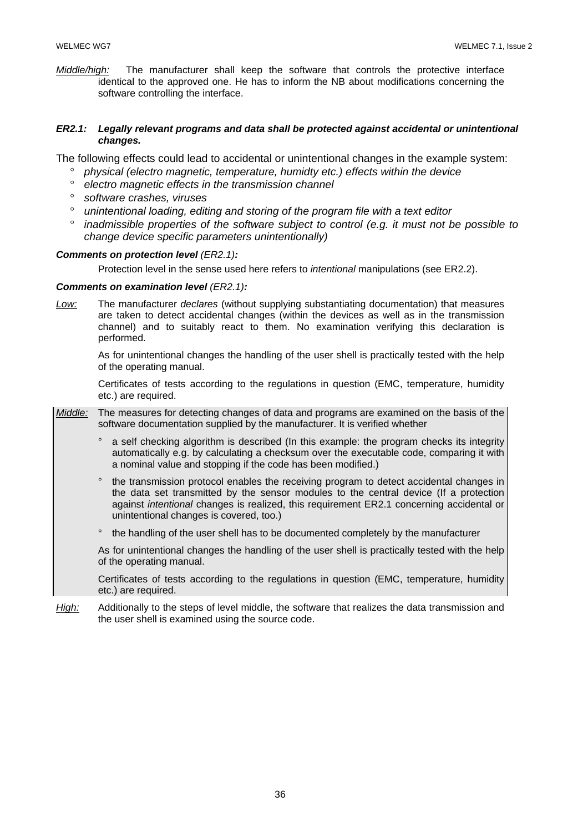*Middle/high:* The manufacturer shall keep the software that controls the protective interface identical to the approved one. He has to inform the NB about modifications concerning the software controlling the interface.

#### *ER2.1: Legally relevant programs and data shall be protected against accidental or unintentional changes.*

The following effects could lead to accidental or unintentional changes in the example system:

- ° *physical (electro magnetic, temperature, humidty etc.) effects within the device*
- ° *electro magnetic effects in the transmission channel*
- ° *software crashes, viruses*
- ° *unintentional loading, editing and storing of the program file with a text editor*
- ° *inadmissible properties of the software subject to control (e.g. it must not be possible to change device specific parameters unintentionally)*

#### *Comments on protection level (ER2.1):*

Protection level in the sense used here refers to *intentional* manipulations (see ER2.2).

#### *Comments on examination level (ER2.1):*

*Low:* The manufacturer *declares* (without supplying substantiating documentation) that measures are taken to detect accidental changes (within the devices as well as in the transmission channel) and to suitably react to them. No examination verifying this declaration is performed.

 As for unintentional changes the handling of the user shell is practically tested with the help of the operating manual.

 Certificates of tests according to the regulations in question (EMC, temperature, humidity etc.) are required.

*Middle:* The measures for detecting changes of data and programs are examined on the basis of the software documentation supplied by the manufacturer. It is verified whether

- ° a self checking algorithm is described (In this example: the program checks its integrity automatically e.g. by calculating a checksum over the executable code, comparing it with a nominal value and stopping if the code has been modified.)
- ° the transmission protocol enables the receiving program to detect accidental changes in the data set transmitted by the sensor modules to the central device (If a protection against *intentional* changes is realized, this requirement ER2.1 concerning accidental or unintentional changes is covered, too.)
- ° the handling of the user shell has to be documented completely by the manufacturer

 As for unintentional changes the handling of the user shell is practically tested with the help of the operating manual.

 Certificates of tests according to the regulations in question (EMC, temperature, humidity etc.) are required.

*High:* Additionally to the steps of level middle, the software that realizes the data transmission and the user shell is examined using the source code.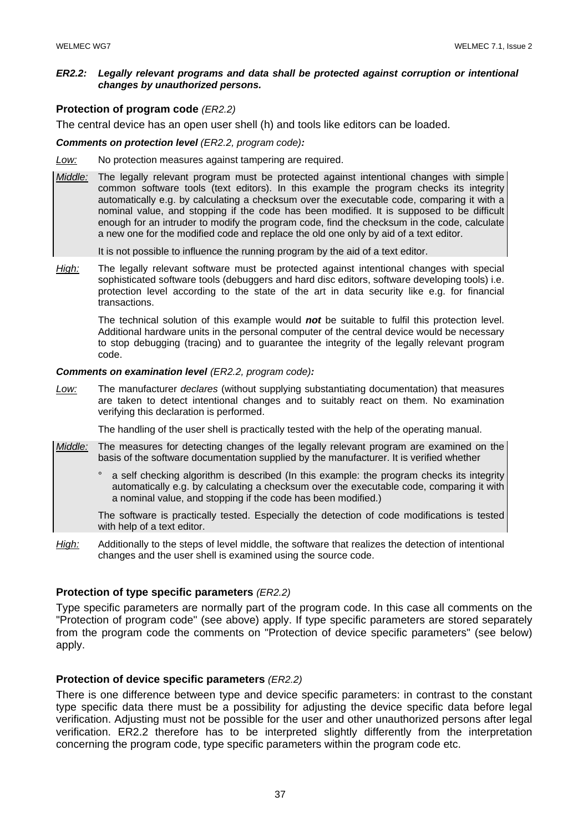#### *ER2.2: Legally relevant programs and data shall be protected against corruption or intentional changes by unauthorized persons.*

#### **Protection of program code** *(ER2.2)*

The central device has an open user shell (h) and tools like editors can be loaded.

#### *Comments on protection level (ER2.2, program code):*

*Low:* No protection measures against tampering are required.

*Middle:* The legally relevant program must be protected against intentional changes with simple common software tools (text editors). In this example the program checks its integrity automatically e.g. by calculating a checksum over the executable code, comparing it with a nominal value, and stopping if the code has been modified. It is supposed to be difficult enough for an intruder to modify the program code, find the checksum in the code, calculate a new one for the modified code and replace the old one only by aid of a text editor.

It is not possible to influence the running program by the aid of a text editor.

*High:* The legally relevant software must be protected against intentional changes with special sophisticated software tools (debuggers and hard disc editors, software developing tools) i.e. protection level according to the state of the art in data security like e.g. for financial transactions.

 The technical solution of this example would *not* be suitable to fulfil this protection level. Additional hardware units in the personal computer of the central device would be necessary to stop debugging (tracing) and to guarantee the integrity of the legally relevant program code.

#### *Comments on examination level (ER2.2, program code):*

*Low:* The manufacturer *declares* (without supplying substantiating documentation) that measures are taken to detect intentional changes and to suitably react on them. No examination verifying this declaration is performed.

The handling of the user shell is practically tested with the help of the operating manual.

- *Middle:* The measures for detecting changes of the legally relevant program are examined on the basis of the software documentation supplied by the manufacturer. It is verified whether
	- ° a self checking algorithm is described (In this example: the program checks its integrity automatically e.g. by calculating a checksum over the executable code, comparing it with a nominal value, and stopping if the code has been modified.)

 The software is practically tested. Especially the detection of code modifications is tested with help of a text editor.

*High:* Additionally to the steps of level middle, the software that realizes the detection of intentional changes and the user shell is examined using the source code.

## **Protection of type specific parameters** *(ER2.2)*

Type specific parameters are normally part of the program code. In this case all comments on the "Protection of program code" (see above) apply. If type specific parameters are stored separately from the program code the comments on "Protection of device specific parameters" (see below) apply.

## **Protection of device specific parameters** *(ER2.2)*

There is one difference between type and device specific parameters: in contrast to the constant type specific data there must be a possibility for adjusting the device specific data before legal verification. Adjusting must not be possible for the user and other unauthorized persons after legal verification. ER2.2 therefore has to be interpreted slightly differently from the interpretation concerning the program code, type specific parameters within the program code etc.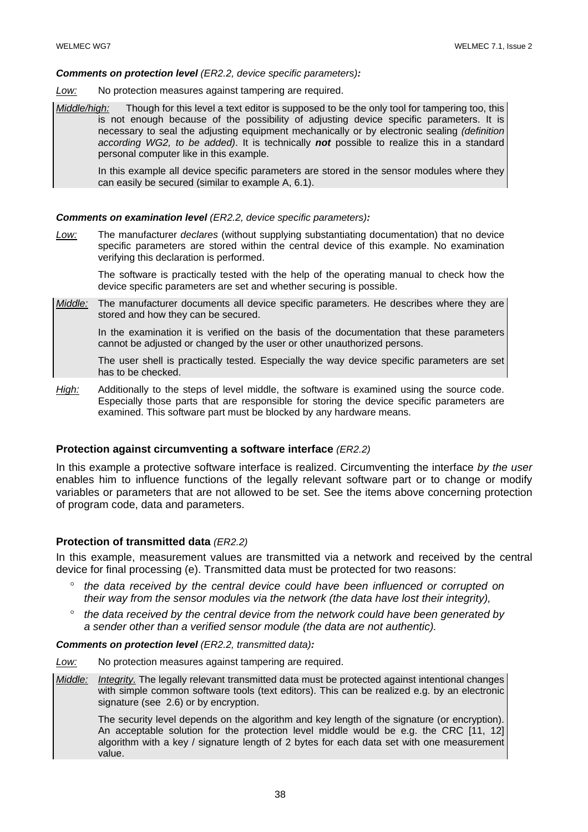#### *Comments on protection level (ER2.2, device specific parameters):*

*Low:* No protection measures against tampering are required.

*Middle/high:* Though for this level a text editor is supposed to be the only tool for tampering too, this is not enough because of the possibility of adjusting device specific parameters. It is necessary to seal the adjusting equipment mechanically or by electronic sealing *(definition according WG2, to be added)*. It is technically *not* possible to realize this in a standard personal computer like in this example.

 In this example all device specific parameters are stored in the sensor modules where they can easily be secured (similar to example A, 6.1).

#### *Comments on examination level (ER2.2, device specific parameters):*

*Low:* The manufacturer *declares* (without supplying substantiating documentation) that no device specific parameters are stored within the central device of this example. No examination verifying this declaration is performed.

 The software is practically tested with the help of the operating manual to check how the device specific parameters are set and whether securing is possible.

*Middle:* The manufacturer documents all device specific parameters. He describes where they are stored and how they can be secured.

 In the examination it is verified on the basis of the documentation that these parameters cannot be adjusted or changed by the user or other unauthorized persons.

 The user shell is practically tested. Especially the way device specific parameters are set has to be checked.

*High:* Additionally to the steps of level middle, the software is examined using the source code. Especially those parts that are responsible for storing the device specific parameters are examined. This software part must be blocked by any hardware means.

#### **Protection against circumventing a software interface** *(ER2.2)*

In this example a protective software interface is realized. Circumventing the interface *by the user* enables him to influence functions of the legally relevant software part or to change or modify variables or parameters that are not allowed to be set. See the items above concerning protection of program code, data and parameters.

#### **Protection of transmitted data** *(ER2.2)*

In this example, measurement values are transmitted via a network and received by the central device for final processing (e). Transmitted data must be protected for two reasons:

- ° *the data received by the central device could have been influenced or corrupted on their way from the sensor modules via the network (the data have lost their integrity),*
- ° *the data received by the central device from the network could have been generated by a sender other than a verified sensor module (the data are not authentic).*

*Comments on protection level (ER2.2, transmitted data):* 

*Low:* No protection measures against tampering are required.

*Middle: Integrity.* The legally relevant transmitted data must be protected against intentional changes with simple common software tools (text editors). This can be realized e.g. by an electronic signature (see 2.6) or by encryption.

 The security level depends on the algorithm and key length of the signature (or encryption). An acceptable solution for the protection level middle would be e.g. the CRC [11, 12] algorithm with a key / signature length of 2 bytes for each data set with one measurement value.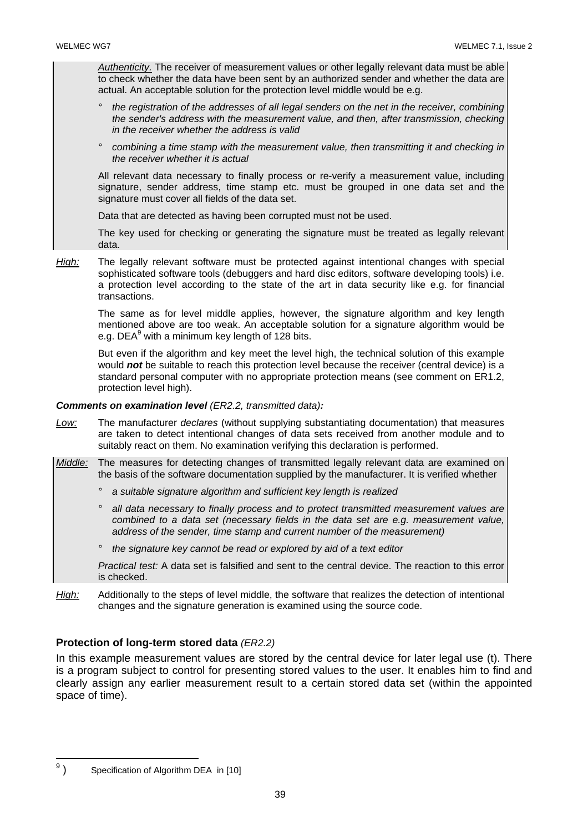*Authenticity.* The receiver of measurement values or other legally relevant data must be able to check whether the data have been sent by an authorized sender and whether the data are actual. An acceptable solution for the protection level middle would be e.g.

- *° the registration of the addresses of all legal senders on the net in the receiver, combining the sender's address with the measurement value, and then, after transmission, checking in the receiver whether the address is valid*
- *° combining a time stamp with the measurement value, then transmitting it and checking in the receiver whether it is actual*

 All relevant data necessary to finally process or re-verify a measurement value, including signature, sender address, time stamp etc. must be grouped in one data set and the signature must cover all fields of the data set.

Data that are detected as having been corrupted must not be used.

 The key used for checking or generating the signature must be treated as legally relevant data.

*High:* The legally relevant software must be protected against intentional changes with special sophisticated software tools (debuggers and hard disc editors, software developing tools) i.e. a protection level according to the state of the art in data security like e.g. for financial transactions.

 The same as for level middle applies, however, the signature algorithm and key length mentioned above are too weak. An acceptable solution for a signature algorithm would be e.g. DEA $^9$  with a minimum key length of 128 bits.

 But even if the algorithm and key meet the level high, the technical solution of this example would *not* be suitable to reach this protection level because the receiver (central device) is a standard personal computer with no appropriate protection means (see comment on ER1.2, protection level high).

## *Comments on examination level (ER2.2, transmitted data):*

- *Low:* The manufacturer *declares* (without supplying substantiating documentation) that measures are taken to detect intentional changes of data sets received from another module and to suitably react on them. No examination verifying this declaration is performed.
- *Middle:* The measures for detecting changes of transmitted legally relevant data are examined on the basis of the software documentation supplied by the manufacturer. It is verified whether
	- *° a suitable signature algorithm and sufficient key length is realized*
	- *° all data necessary to finally process and to protect transmitted measurement values are combined to a data set (necessary fields in the data set are e.g. measurement value, address of the sender, time stamp and current number of the measurement)*
	- *° the signature key cannot be read or explored by aid of a text editor*

*Practical test:* A data set is falsified and sent to the central device. The reaction to this error is checked.

*High:* Additionally to the steps of level middle, the software that realizes the detection of intentional changes and the signature generation is examined using the source code.

## **Protection of long-term stored data** *(ER2.2)*

In this example measurement values are stored by the central device for later legal use (t). There is a program subject to control for presenting stored values to the user. It enables him to find and clearly assign any earlier measurement result to a certain stored data set (within the appointed space of time).

<sup>–&</sup>lt;br>9 ) Specification of Algorithm DEA in [10]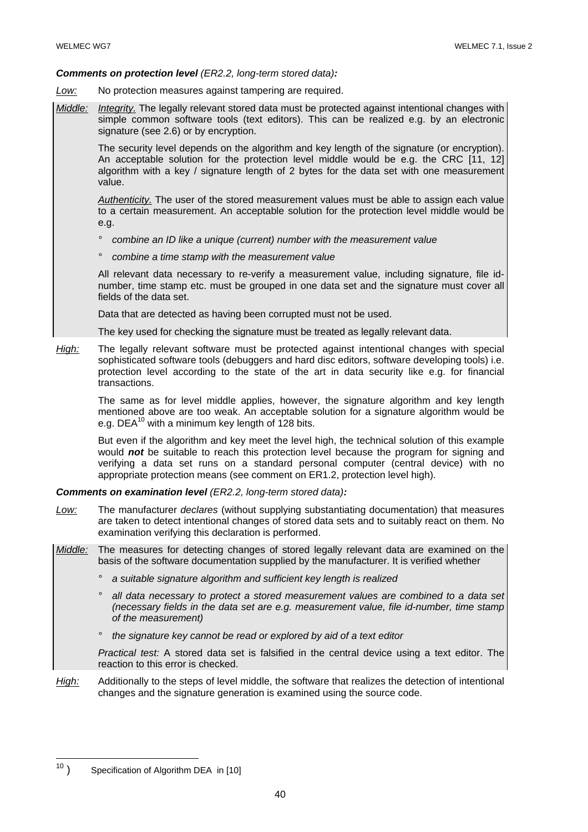#### *Comments on protection level (ER2.2, long-term stored data):*

- *Low:* No protection measures against tampering are required.
- *Middle: Integrity.* The legally relevant stored data must be protected against intentional changes with simple common software tools (text editors). This can be realized e.g. by an electronic signature (see 2.6) or by encryption.

 The security level depends on the algorithm and key length of the signature (or encryption). An acceptable solution for the protection level middle would be e.g. the CRC [11, 12] algorithm with a key / signature length of 2 bytes for the data set with one measurement value.

*Authenticity.* The user of the stored measurement values must be able to assign each value to a certain measurement. An acceptable solution for the protection level middle would be e.g.

- *° combine an ID like a unique (current) number with the measurement value*
- *° combine a time stamp with the measurement value*

 All relevant data necessary to re-verify a measurement value, including signature, file idnumber, time stamp etc. must be grouped in one data set and the signature must cover all fields of the data set.

Data that are detected as having been corrupted must not be used.

The key used for checking the signature must be treated as legally relevant data.

*High:* The legally relevant software must be protected against intentional changes with special sophisticated software tools (debuggers and hard disc editors, software developing tools) i.e. protection level according to the state of the art in data security like e.g. for financial transactions.

 The same as for level middle applies, however, the signature algorithm and key length mentioned above are too weak. An acceptable solution for a signature algorithm would be e.g. DEA $^{10}$  with a minimum key length of 128 bits.

 But even if the algorithm and key meet the level high, the technical solution of this example would *not* be suitable to reach this protection level because the program for signing and verifying a data set runs on a standard personal computer (central device) with no appropriate protection means (see comment on ER1.2, protection level high).

*Comments on examination level (ER2.2, long-term stored data):* 

- *Low:* The manufacturer *declares* (without supplying substantiating documentation) that measures are taken to detect intentional changes of stored data sets and to suitably react on them. No examination verifying this declaration is performed.
- *Middle:* The measures for detecting changes of stored legally relevant data are examined on the basis of the software documentation supplied by the manufacturer. It is verified whether
	- *° a suitable signature algorithm and sufficient key length is realized*
	- *° all data necessary to protect a stored measurement values are combined to a data set (necessary fields in the data set are e.g. measurement value, file id-number, time stamp of the measurement)*
	- *° the signature key cannot be read or explored by aid of a text editor*

*Practical test:* A stored data set is falsified in the central device using a text editor. The reaction to this error is checked.

*High:* Additionally to the steps of level middle, the software that realizes the detection of intentional changes and the signature generation is examined using the source code.

 $\overline{a}$ 

 $10$  ) Specification of Algorithm DEA in [10]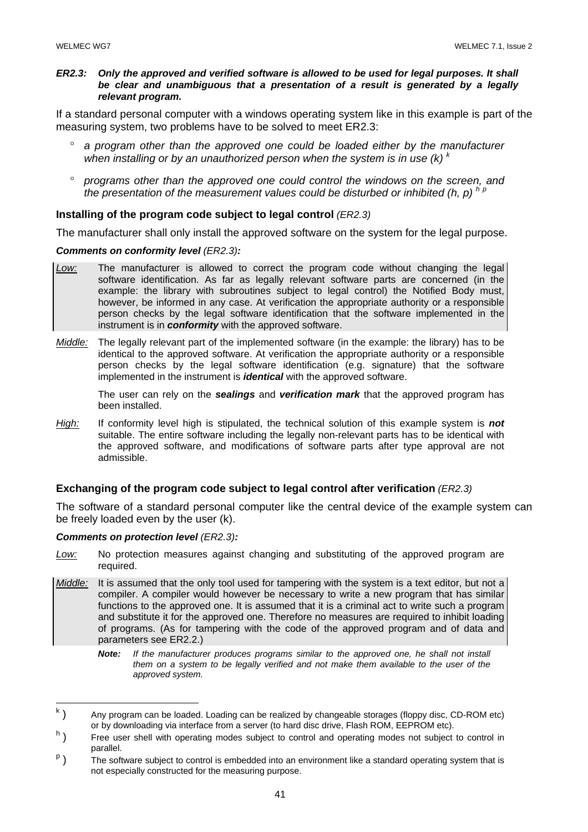#### *ER2.3: Only the approved and verified software is allowed to be used for legal purposes. It shall be clear and unambiguous that a presentation of a result is generated by a legally relevant program.*

If a standard personal computer with a windows operating system like in this example is part of the measuring system, two problems have to be solved to meet ER2.3:

- a program other than the approved one could be loaded either by the manufacturer when installing or by an unauthorized person when the system is in use  $(k)$ <sup> $k$ </sup>
- ° *programs other than the approved one could control the windows on the screen, and the presentation of the measurement values could be disturbed or inhibited (h, p)*  $h p$

#### **Installing of the program code subject to legal control** *(ER2.3)*

The manufacturer shall only install the approved software on the system for the legal purpose.

#### *Comments on conformity level (ER2.3):*

- *Low:* The manufacturer is allowed to correct the program code without changing the legal software identification. As far as legally relevant software parts are concerned (in the example: the library with subroutines subject to legal control) the Notified Body must, however, be informed in any case. At verification the appropriate authority or a responsible person checks by the legal software identification that the software implemented in the instrument is in *conformity* with the approved software.
- *Middle:* The legally relevant part of the implemented software (in the example: the library) has to be identical to the approved software. At verification the appropriate authority or a responsible person checks by the legal software identification (e.g. signature) that the software implemented in the instrument is *identical* with the approved software.

 The user can rely on the *sealings* and *verification mark* that the approved program has been installed.

*High:* If conformity level high is stipulated, the technical solution of this example system is *not* suitable. The entire software including the legally non-relevant parts has to be identical with the approved software, and modifications of software parts after type approval are not admissible.

## **Exchanging of the program code subject to legal control after verification** *(ER2.3)*

The software of a standard personal computer like the central device of the example system can be freely loaded even by the user (k).

#### *Comments on protection level (ER2.3):*

- *Low:* No protection measures against changing and substituting of the approved program are required.
- *Middle:* It is assumed that the only tool used for tampering with the system is a text editor, but not a compiler. A compiler would however be necessary to write a new program that has similar functions to the approved one. It is assumed that it is a criminal act to write such a program and substitute it for the approved one. Therefore no measures are required to inhibit loading of programs. (As for tampering with the code of the approved program and of data and parameters see ER2.2.)
	- *Note: If the manufacturer produces programs similar to the approved one, he shall not install them on a system to be legally verified and not make them available to the user of the approved system.*

<sup>|&</sup>lt;br>k ) Any program can be loaded. Loading can be realized by changeable storages (floppy disc, CD-ROM etc) or by downloading via interface from a server (to hard disc drive, Flash ROM, EEPROM etc).

 $h<sub>1</sub>$  ) Free user shell with operating modes subject to control and operating modes not subject to control in parallel.

 $P$  ) The software subject to control is embedded into an environment like a standard operating system that is not especially constructed for the measuring purpose.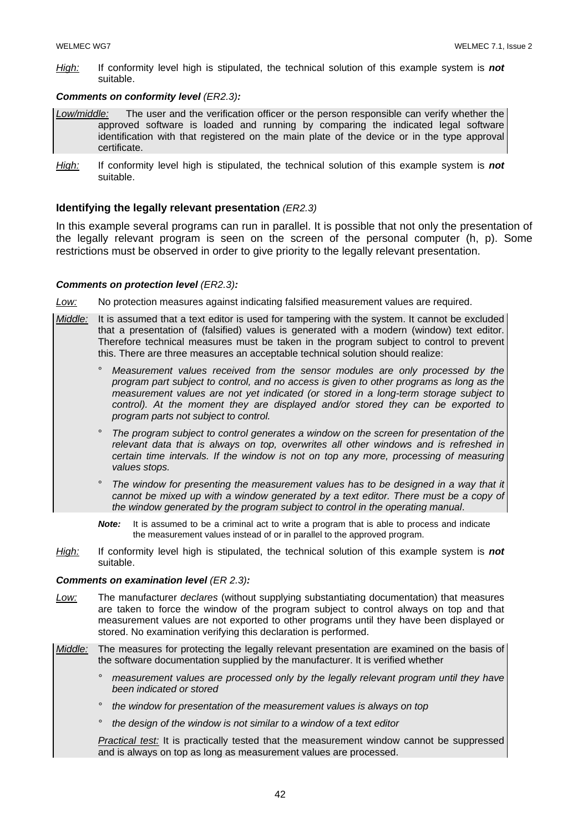*High:* If conformity level high is stipulated, the technical solution of this example system is *not* suitable.

#### *Comments on conformity level (ER2.3):*

- *Low/middle:* The user and the verification officer or the person responsible can verify whether the approved software is loaded and running by comparing the indicated legal software identification with that registered on the main plate of the device or in the type approval certificate.
- *High:* If conformity level high is stipulated, the technical solution of this example system is *not* suitable.

#### **Identifying the legally relevant presentation** *(ER2.3)*

In this example several programs can run in parallel. It is possible that not only the presentation of the legally relevant program is seen on the screen of the personal computer (h, p). Some restrictions must be observed in order to give priority to the legally relevant presentation.

#### *Comments on protection level (ER2.3):*

*Low:* No protection measures against indicating falsified measurement values are required.

- *Middle:* It is assumed that a text editor is used for tampering with the system. It cannot be excluded that a presentation of (falsified) values is generated with a modern (window) text editor. Therefore technical measures must be taken in the program subject to control to prevent this. There are three measures an acceptable technical solution should realize:
	- ° *Measurement values received from the sensor modules are only processed by the program part subject to control, and no access is given to other programs as long as the measurement values are not yet indicated (or stored in a long-term storage subject to control). At the moment they are displayed and/or stored they can be exported to program parts not subject to control.*
	- ° *The program subject to control generates a window on the screen for presentation of the relevant data that is always on top, overwrites all other windows and is refreshed in certain time intervals. If the window is not on top any more, processing of measuring values stops.*
	- The window for presenting the measurement values has to be designed in a way that it *cannot be mixed up with a window generated by a text editor. There must be a copy of the window generated by the program subject to control in the operating manual*.
	- **Note:** It is assumed to be a criminal act to write a program that is able to process and indicate the measurement values instead of or in parallel to the approved program.
- *High:* If conformity level high is stipulated, the technical solution of this example system is *not* suitable.

#### *Comments on examination level (ER 2.3):*

- *Low:* The manufacturer *declares* (without supplying substantiating documentation) that measures are taken to force the window of the program subject to control always on top and that measurement values are not exported to other programs until they have been displayed or stored. No examination verifying this declaration is performed.
- *Middle:* The measures for protecting the legally relevant presentation are examined on the basis of the software documentation supplied by the manufacturer. It is verified whether
	- *° measurement values are processed only by the legally relevant program until they have been indicated or stored*
	- *° the window for presentation of the measurement values is always on top*
	- *° the design of the window is not similar to a window of a text editor*

*Practical test:* It is practically tested that the measurement window cannot be suppressed and is always on top as long as measurement values are processed.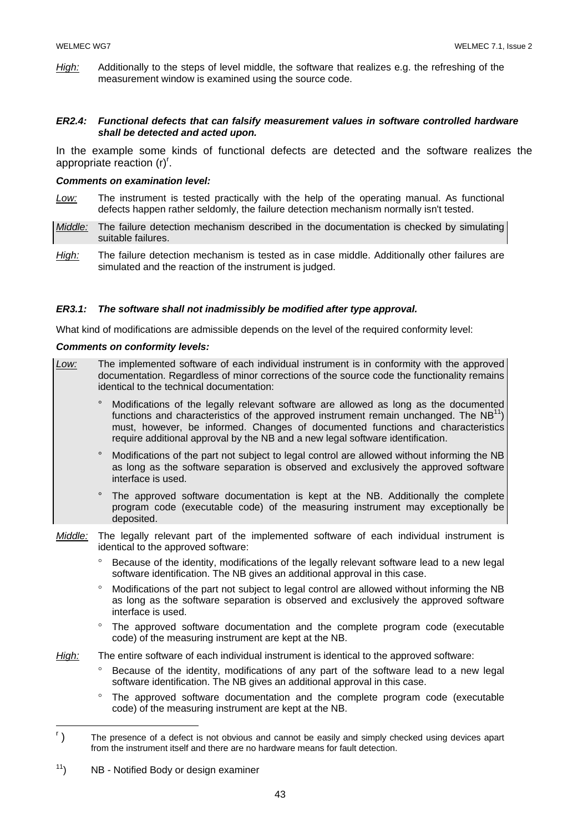*High:* Additionally to the steps of level middle, the software that realizes e.g. the refreshing of the measurement window is examined using the source code.

#### *ER2.4: Functional defects that can falsify measurement values in software controlled hardware shall be detected and acted upon.*

In the example some kinds of functional defects are detected and the software realizes the appropriate reaction (r)<sup>r</sup>.

#### *Comments on examination level:*

- *Low:* The instrument is tested practically with the help of the operating manual. As functional defects happen rather seldomly, the failure detection mechanism normally isn't tested.
- *Middle:* The failure detection mechanism described in the documentation is checked by simulating suitable failures.
- *High:* The failure detection mechanism is tested as in case middle. Additionally other failures are simulated and the reaction of the instrument is judged.

#### *ER3.1: The software shall not inadmissibly be modified after type approval.*

What kind of modifications are admissible depends on the level of the required conformity level:

#### *Comments on conformity levels:*

*Low:* The implemented software of each individual instrument is in conformity with the approved documentation. Regardless of minor corrections of the source code the functionality remains identical to the technical documentation: ° Modifications of the legally relevant software are allowed as long as the documented functions and characteristics of the approved instrument remain unchanged. The  $NB<sup>11</sup>$ ) must, however, be informed. Changes of documented functions and characteristics require additional approval by the NB and a new legal software identification. ° Modifications of the part not subject to legal control are allowed without informing the NB as long as the software separation is observed and exclusively the approved software interface is used. ° The approved software documentation is kept at the NB. Additionally the complete program code (executable code) of the measuring instrument may exceptionally be deposited. *Middle:* The legally relevant part of the implemented software of each individual instrument is identical to the approved software: Because of the identity, modifications of the legally relevant software lead to a new legal software identification. The NB gives an additional approval in this case. ° Modifications of the part not subject to legal control are allowed without informing the NB as long as the software separation is observed and exclusively the approved software interface is used. ° The approved software documentation and the complete program code (executable code) of the measuring instrument are kept at the NB. *High:* The entire software of each individual instrument is identical to the approved software: Because of the identity, modifications of any part of the software lead to a new legal software identification. The NB gives an additional approval in this case. The approved software documentation and the complete program code (executable code) of the measuring instrument are kept at the NB.  $\overline{a}$  $\mathbf{r}$ )

 <sup>)</sup> The presence of a defect is not obvious and cannot be easily and simply checked using devices apart from the instrument itself and there are no hardware means for fault detection.

 $11$ ) NB - Notified Body or design examiner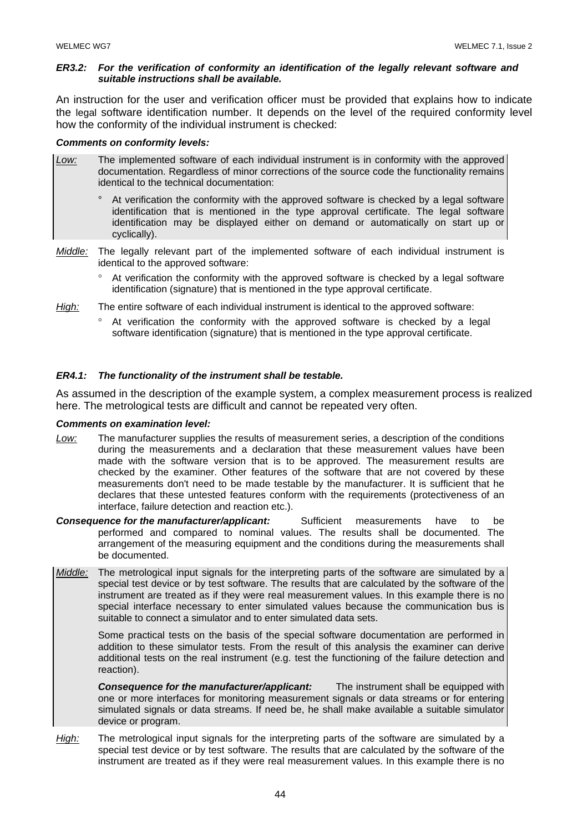#### *ER3.2: For the verification of conformity an identification of the legally relevant software and suitable instructions shall be available.*

An instruction for the user and verification officer must be provided that explains how to indicate the legal software identification number. It depends on the level of the required conformity level how the conformity of the individual instrument is checked:

#### *Comments on conformity levels:*

- *Low:* The implemented software of each individual instrument is in conformity with the approved documentation. Regardless of minor corrections of the source code the functionality remains identical to the technical documentation:
	- ° At verification the conformity with the approved software is checked by a legal software identification that is mentioned in the type approval certificate. The legal software identification may be displayed either on demand or automatically on start up or cyclically).
- *Middle:* The legally relevant part of the implemented software of each individual instrument is identical to the approved software:
	- ° At verification the conformity with the approved software is checked by a legal software identification (signature) that is mentioned in the type approval certificate.
- *High:* The entire software of each individual instrument is identical to the approved software:
	- ° At verification the conformity with the approved software is checked by a legal software identification (signature) that is mentioned in the type approval certificate.

#### *ER4.1: The functionality of the instrument shall be testable.*

As assumed in the description of the example system, a complex measurement process is realized here. The metrological tests are difficult and cannot be repeated very often.

#### *Comments on examination level:*

- *Low:* The manufacturer supplies the results of measurement series, a description of the conditions during the measurements and a declaration that these measurement values have been made with the software version that is to be approved. The measurement results are checked by the examiner. Other features of the software that are not covered by these measurements don't need to be made testable by the manufacturer. It is sufficient that he declares that these untested features conform with the requirements (protectiveness of an interface, failure detection and reaction etc.).
- *Consequence for the manufacturer/applicant:* Sufficient measurements have to be performed and compared to nominal values. The results shall be documented. The arrangement of the measuring equipment and the conditions during the measurements shall be documented.
- *Middle:* The metrological input signals for the interpreting parts of the software are simulated by a special test device or by test software. The results that are calculated by the software of the instrument are treated as if they were real measurement values. In this example there is no special interface necessary to enter simulated values because the communication bus is suitable to connect a simulator and to enter simulated data sets.

 Some practical tests on the basis of the special software documentation are performed in addition to these simulator tests. From the result of this analysis the examiner can derive additional tests on the real instrument (e.g. test the functioning of the failure detection and reaction).

 *Consequence for the manufacturer/applicant:* The instrument shall be equipped with one or more interfaces for monitoring measurement signals or data streams or for entering simulated signals or data streams. If need be, he shall make available a suitable simulator device or program.

*High:* The metrological input signals for the interpreting parts of the software are simulated by a special test device or by test software. The results that are calculated by the software of the instrument are treated as if they were real measurement values. In this example there is no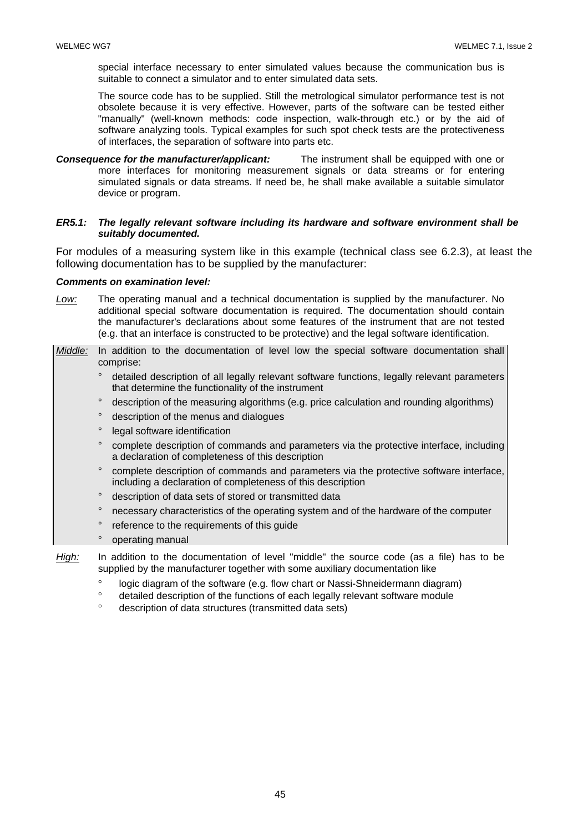special interface necessary to enter simulated values because the communication bus is suitable to connect a simulator and to enter simulated data sets.

The source code has to be supplied. Still the metrological simulator performance test is not obsolete because it is very effective. However, parts of the software can be tested either "manually" (well-known methods: code inspection, walk-through etc.) or by the aid of software analyzing tools. Typical examples for such spot check tests are the protectiveness of interfaces, the separation of software into parts etc.

*Consequence for the manufacturer/applicant:* The instrument shall be equipped with one or more interfaces for monitoring measurement signals or data streams or for entering simulated signals or data streams. If need be, he shall make available a suitable simulator device or program.

#### *ER5.1: The legally relevant software including its hardware and software environment shall be suitably documented.*

For modules of a measuring system like in this example (technical class see 6.2.3), at least the following documentation has to be supplied by the manufacturer:

#### *Comments on examination level:*

- *Low:* The operating manual and a technical documentation is supplied by the manufacturer. No additional special software documentation is required. The documentation should contain the manufacturer's declarations about some features of the instrument that are not tested (e.g. that an interface is constructed to be protective) and the legal software identification.
- *Middle:* In addition to the documentation of level low the special software documentation shall comprise:
	- ° detailed description of all legally relevant software functions, legally relevant parameters that determine the functionality of the instrument
	- ° description of the measuring algorithms (e.g. price calculation and rounding algorithms)
	- ° description of the menus and dialogues
	- ° legal software identification
	- ° complete description of commands and parameters via the protective interface, including a declaration of completeness of this description
	- ° complete description of commands and parameters via the protective software interface, including a declaration of completeness of this description
	- ° description of data sets of stored or transmitted data
	- ° necessary characteristics of the operating system and of the hardware of the computer
	- reference to the requirements of this quide
	- ° operating manual
- *High:* In addition to the documentation of level "middle" the source code (as a file) has to be supplied by the manufacturer together with some auxiliary documentation like
	- ° logic diagram of the software (e.g. flow chart or Nassi-Shneidermann diagram)
	- ° detailed description of the functions of each legally relevant software module
	- ° description of data structures (transmitted data sets)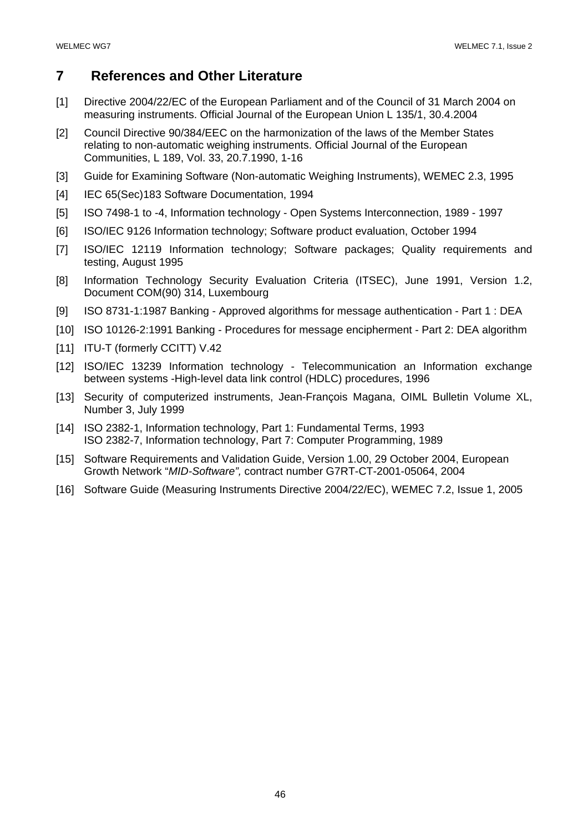## **7 References and Other Literature**

- [1] Directive 2004/22/EC of the European Parliament and of the Council of 31 March 2004 on measuring instruments. Official Journal of the European Union L 135/1, 30.4.2004
- [2] Council Directive 90/384/EEC on the harmonization of the laws of the Member States relating to non-automatic weighing instruments. Official Journal of the European Communities, L 189, Vol. 33, 20.7.1990, 1-16
- [3] Guide for Examining Software (Non-automatic Weighing Instruments), WEMEC 2.3, 1995
- [4] IEC 65(Sec)183 Software Documentation, 1994
- [5] ISO 7498-1 to -4, Information technology Open Systems Interconnection, 1989 1997
- [6] ISO/IEC 9126 Information technology; Software product evaluation, October 1994
- [7] ISO/IEC 12119 Information technology; Software packages; Quality requirements and testing, August 1995
- [8] Information Technology Security Evaluation Criteria (ITSEC), June 1991, Version 1.2, Document COM(90) 314, Luxembourg
- [9] ISO 8731-1:1987 Banking Approved algorithms for message authentication Part 1 : DEA
- [10] ISO 10126-2:1991 Banking Procedures for message encipherment Part 2: DEA algorithm
- [11] ITU-T (formerly CCITT) V.42
- [12] ISO/IEC 13239 Information technology Telecommunication an Information exchange between systems -High-level data link control (HDLC) procedures, 1996
- [13] Security of computerized instruments, Jean-François Magana, OIML Bulletin Volume XL, Number 3, July 1999
- [14] ISO 2382-1, Information technology, Part 1: Fundamental Terms, 1993 ISO 2382-7, Information technology, Part 7: Computer Programming, 1989
- [15] Software Requirements and Validation Guide, Version 1.00, 29 October 2004, European Growth Network "*MID-Software",* contract number G7RT-CT-2001-05064, 2004
- [16] Software Guide (Measuring Instruments Directive 2004/22/EC), WEMEC 7.2, Issue 1, 2005